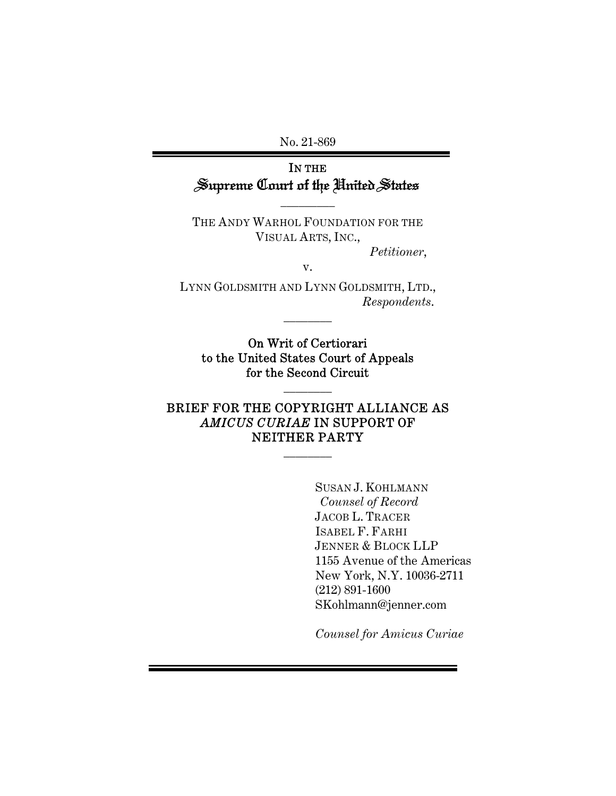No. 21-869

# IN THE Supreme Court of the United States

THE ANDY WARHOL FOUNDATION FOR THE VISUAL ARTS, INC.,

 $\overline{\phantom{a}}$  . The set of  $\overline{\phantom{a}}$ 

*Petitioner*,

v.

LYNN GOLDSMITH AND LYNN GOLDSMITH, LTD., *Respondents*.

 $\frac{1}{2}$ 

On Writ of Certiorari to the United States Court of Appeals for the Second Circuit

 $\frac{1}{2}$ 

# BRIEF FOR THE COPYRIGHT ALLIANCE AS *AMICUS CURIAE* IN SUPPORT OF NEITHER PARTY

 $\frac{1}{2}$ 

SUSAN J. KOHLMANN *Counsel of Record*  JACOB L. TRACER ISABEL F. FARHI JENNER & BLOCK LLP 1155 Avenue of the Americas New York, N.Y. 10036-2711 (212) 891-1600 SKohlmann@jenner.com

*Counsel for Amicus Curiae*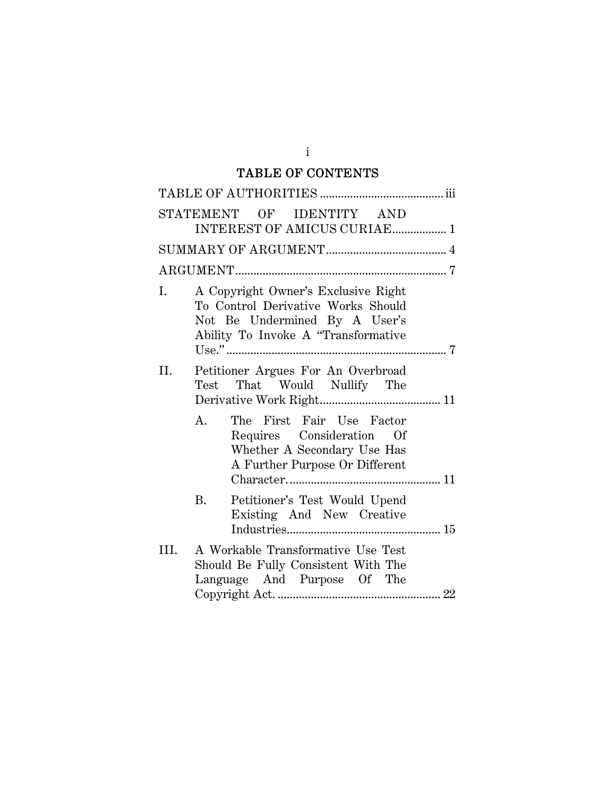# TABLE OF CONTENTS

|      | STATEMENT OF IDENTITY AND<br>INTEREST OF AMICUS CURIAE 1                                                                                          |
|------|---------------------------------------------------------------------------------------------------------------------------------------------------|
|      |                                                                                                                                                   |
|      |                                                                                                                                                   |
| Ι.   | A Copyright Owner's Exclusive Right<br>To Control Derivative Works Should<br>Not Be Undermined By A User's<br>Ability To Invoke A "Transformative |
| II.  | Petitioner Argues For An Overbroad<br>Test That Would Nullify The                                                                                 |
|      | The First Fair Use Factor<br>A.<br>Requires Consideration Of<br>Whether A Secondary Use Has<br>A Further Purpose Or Different                     |
|      | <b>B.</b><br>Petitioner's Test Would Upend<br>Existing And New Creative                                                                           |
| III. | A Workable Transformative Use Test<br>Should Be Fully Consistent With The<br>Language And Purpose Of The                                          |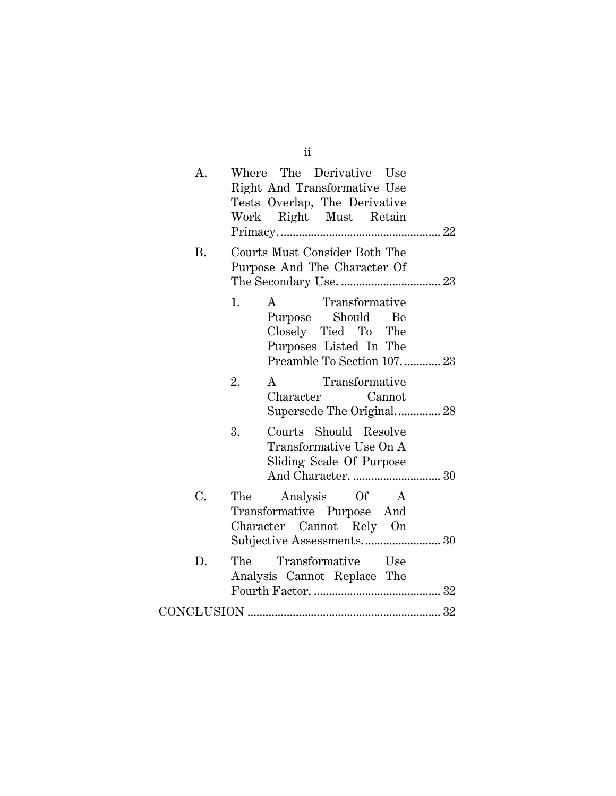| Courts Must Consider Both The<br>В.<br>Purpose And The Character Of<br>A Transformative<br>1.<br>Purpose Should Be<br>Closely Tied To The<br>Purposes Listed In The<br>Preamble To Section 107 23<br>2.<br>A Transformative<br>Character Cannot<br>3.<br>Courts Should Resolve<br>Transformative Use On A<br>Sliding Scale Of Purpose<br>$C_{\bullet}$<br>The<br>Analysis Of A<br>Transformative Purpose And<br>Character Cannot Rely On<br>Transformative Use<br>D.<br>The<br>Analysis Cannot Replace The | Α. | Where The Derivative Use<br>Right And Transformative Use<br>Tests Overlap, The Derivative<br>Work Right Must Retain |
|------------------------------------------------------------------------------------------------------------------------------------------------------------------------------------------------------------------------------------------------------------------------------------------------------------------------------------------------------------------------------------------------------------------------------------------------------------------------------------------------------------|----|---------------------------------------------------------------------------------------------------------------------|
|                                                                                                                                                                                                                                                                                                                                                                                                                                                                                                            |    |                                                                                                                     |
|                                                                                                                                                                                                                                                                                                                                                                                                                                                                                                            |    |                                                                                                                     |
|                                                                                                                                                                                                                                                                                                                                                                                                                                                                                                            |    |                                                                                                                     |
|                                                                                                                                                                                                                                                                                                                                                                                                                                                                                                            |    |                                                                                                                     |
|                                                                                                                                                                                                                                                                                                                                                                                                                                                                                                            |    |                                                                                                                     |
|                                                                                                                                                                                                                                                                                                                                                                                                                                                                                                            |    |                                                                                                                     |
|                                                                                                                                                                                                                                                                                                                                                                                                                                                                                                            |    |                                                                                                                     |

ii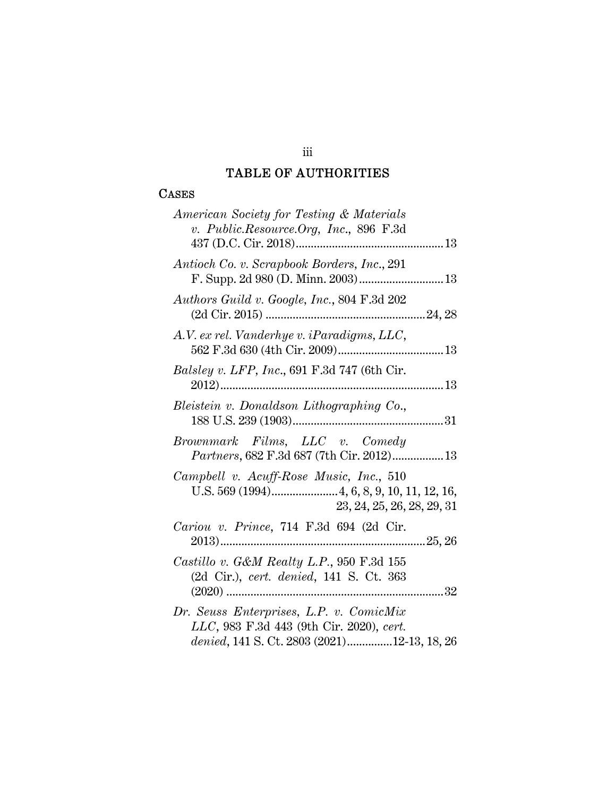# TABLE OF AUTHORITIES

### **CASES**

| American Society for Testing & Materials<br>v. Public.Resource.Org, Inc., 896 F.3d                                                 |
|------------------------------------------------------------------------------------------------------------------------------------|
|                                                                                                                                    |
| Antioch Co. v. Scrapbook Borders, Inc., 291<br>F. Supp. 2d 980 (D. Minn. 2003) 13                                                  |
| Authors Guild v. Google, Inc., 804 F.3d 202                                                                                        |
| A.V. ex rel. Vanderhye v. iParadigms, LLC,                                                                                         |
| <i>Balsley v. LFP, Inc.</i> , 691 F.3d 747 (6th Cir.                                                                               |
| Bleistein v. Donaldson Lithographing Co.,                                                                                          |
| Brownmark Films, LLC v. Comedy<br>Partners, 682 F.3d 687 (7th Cir. 2012) 13                                                        |
| Campbell v. Acuff-Rose Music, Inc., 510<br>23, 24, 25, 26, 28, 29, 31                                                              |
| Cariou v. Prince, 714 F.3d 694 (2d Cir.<br>2013)                                                                                   |
| Castillo v. G&M Realty L.P., 950 F.3d 155<br>(2d Cir.), cert. denied, 141 S. Ct. 363                                               |
| Dr. Seuss Enterprises, L.P. v. ComicMix<br>LLC, 983 F.3d 443 (9th Cir. 2020), cert.<br>denied, 141 S. Ct. 2803 (2021)12-13, 18, 26 |

# iii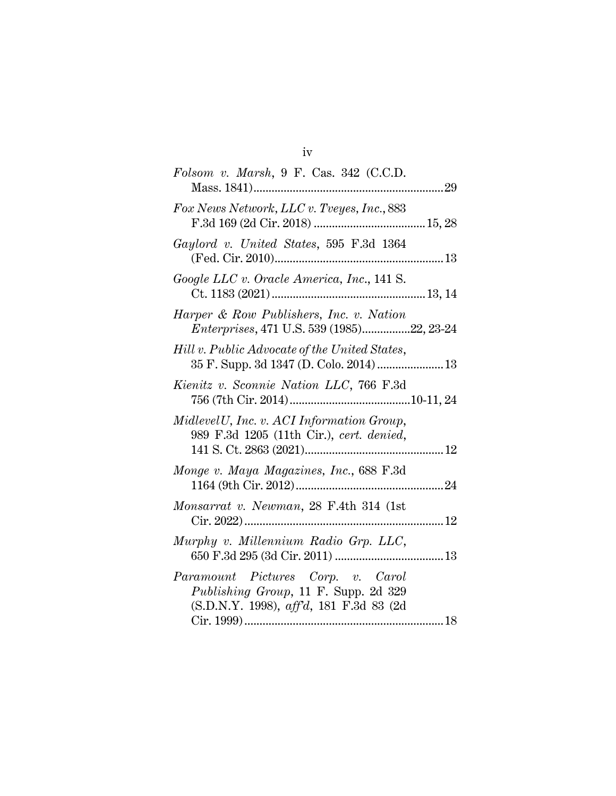| ٠ |  |
|---|--|
| ٠ |  |

| Folsom v. Marsh, 9 F. Cas. 342 (C.C.D.<br>29<br>Mass. 1841)                                                          |
|----------------------------------------------------------------------------------------------------------------------|
| Fox News Network, LLC v. Tveyes, Inc., 883                                                                           |
| Gaylord v. United States, 595 F.3d 1364                                                                              |
| Google LLC v. Oracle America, Inc., 141 S.                                                                           |
| Harper & Row Publishers, Inc. v. Nation<br>Enterprises, 471 U.S. 539 (1985)22, 23-24                                 |
| Hill v. Public Advocate of the United States,<br>35 F. Supp. 3d 1347 (D. Colo. 2014)  13                             |
| Kienitz v. Sconnie Nation LLC, 766 F.3d                                                                              |
| Midlevel U, Inc. v. ACI Information Group,<br>989 F.3d 1205 (11th Cir.), cert. denied,                               |
| Monge v. Maya Magazines, Inc., 688 F.3d                                                                              |
| Monsarrat v. Newman, 28 F.4th 314 (1st                                                                               |
| Murphy v. Millennium Radio Grp. LLC,                                                                                 |
| Paramount Pictures Corp. v. Carol<br>Publishing Group, 11 F. Supp. 2d 329<br>(S.D.N.Y. 1998), aff'd, 181 F.3d 83 (2d |
|                                                                                                                      |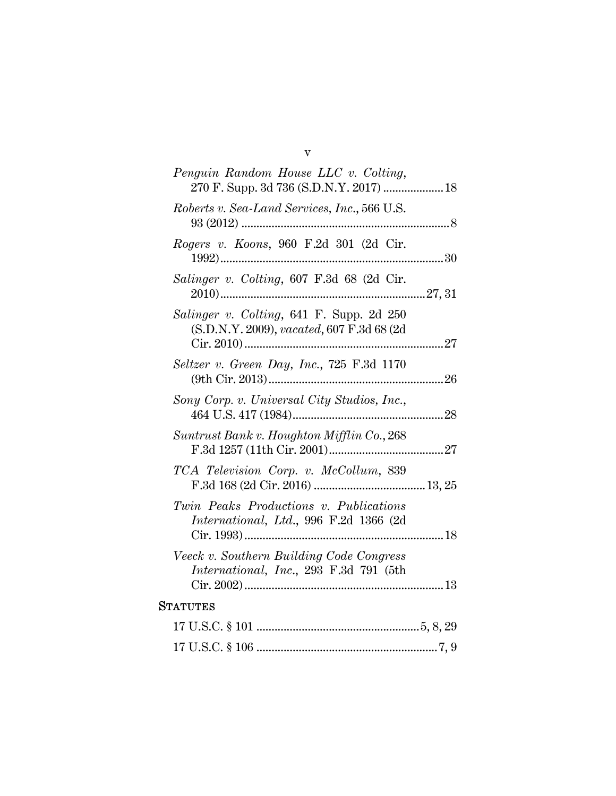| Penguin Random House LLC v. Colting,                                                   |  |
|----------------------------------------------------------------------------------------|--|
| Roberts v. Sea-Land Services, Inc., 566 U.S.<br>$93(2012)$                             |  |
| Rogers v. Koons, 960 F.2d 301 (2d Cir.                                                 |  |
| Salinger v. Colting, 607 F.3d 68 (2d Cir.                                              |  |
| Salinger v. Colting, 641 F. Supp. 2d 250<br>(S.D.N.Y. 2009), vacated, 607 F.3d 68 (2d) |  |
| Seltzer v. Green Day, Inc., 725 F.3d 1170                                              |  |
| Sony Corp. v. Universal City Studios, Inc.,                                            |  |
| Suntrust Bank v. Houghton Mifflin Co., 268                                             |  |
| TCA Television Corp. v. McCollum, 839                                                  |  |
| Twin Peaks Productions v. Publications<br>International, Ltd., 996 F.2d 1366 (2d       |  |
| Veeck v. Southern Building Code Congress<br>International, Inc., 293 F.3d 791 (5th     |  |
| <b>STATUTES</b>                                                                        |  |
|                                                                                        |  |
|                                                                                        |  |

v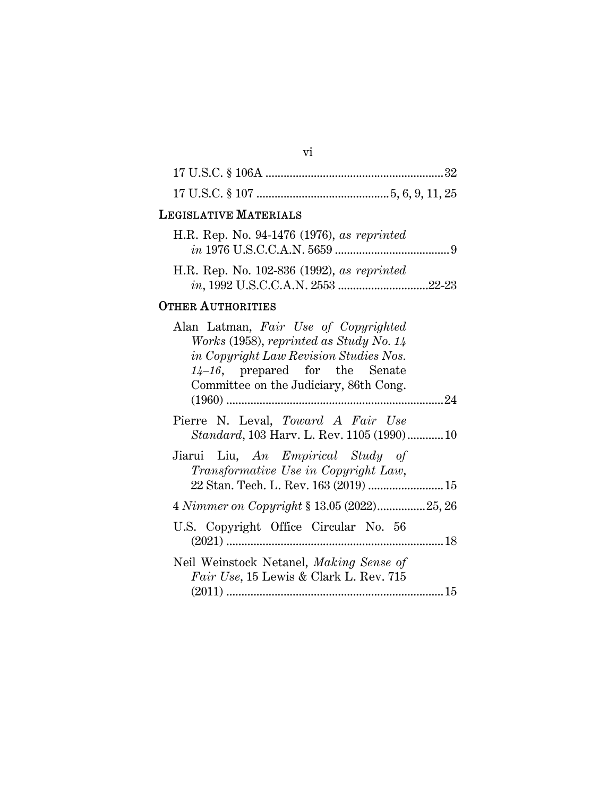# LEGISLATIVE MATERIALS

| H.R. Rep. No. 94-1476 (1976), as reprinted |  |
|--------------------------------------------|--|
|                                            |  |
|                                            |  |
| H.R. Rep. No. 102-836 (1992), as reprinted |  |
|                                            |  |

# OTHER AUTHORITIES

| Alan Latman, Fair Use of Copyrighted          |  |
|-----------------------------------------------|--|
| Works (1958), reprinted as Study No. $14$     |  |
| <i>in Copyright Law Revision Studies Nos.</i> |  |
| $14-16$ , prepared for the Senate             |  |
| Committee on the Judiciary, 86th Cong.        |  |
|                                               |  |
| Pierre N. Leval, Toward A Fair Use            |  |
| Standard, 103 Harv. L. Rev. 1105 (1990)10     |  |
| Jiarui Liu, An Empirical Study of             |  |
| Transformative Use in Copyright Law,          |  |
|                                               |  |
| 4 Nimmer on Copyright § 13.05 (2022)25, 26    |  |
| U.S. Copyright Office Circular No. 56         |  |
|                                               |  |
| Neil Weinstock Netanel, Making Sense of       |  |
| Fair Use, 15 Lewis & Clark L. Rev. 715        |  |
|                                               |  |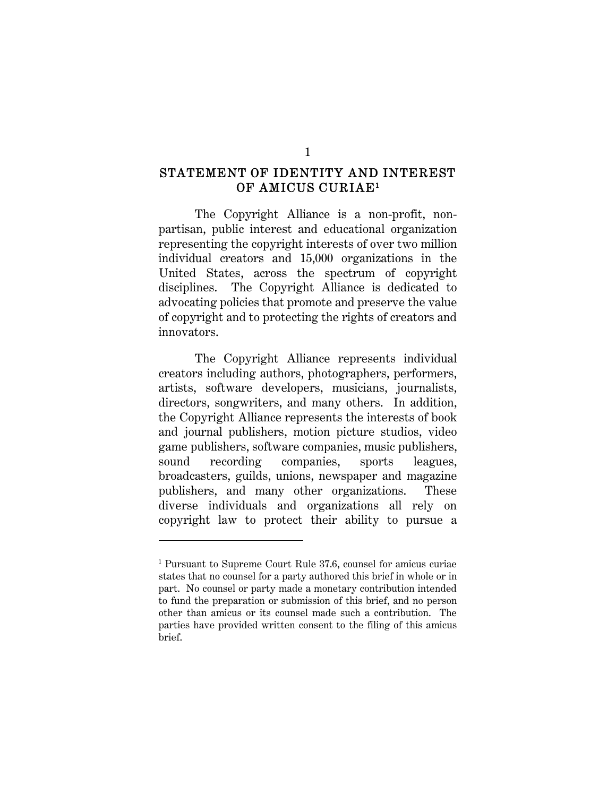# STATEMENT OF IDENTITY AND INTEREST OF AMICUS CURIAE<sup>1</sup>

The Copyright Alliance is a non-profit, nonpartisan, public interest and educational organization representing the copyright interests of over two million individual creators and 15,000 organizations in the United States, across the spectrum of copyright disciplines. The Copyright Alliance is dedicated to advocating policies that promote and preserve the value of copyright and to protecting the rights of creators and innovators.

The Copyright Alliance represents individual creators including authors, photographers, performers, artists, software developers, musicians, journalists, directors, songwriters, and many others. In addition, the Copyright Alliance represents the interests of book and journal publishers, motion picture studios, video game publishers, software companies, music publishers, sound recording companies, sports leagues, broadcasters, guilds, unions, newspaper and magazine publishers, and many other organizations. These diverse individuals and organizations all rely on copyright law to protect their ability to pursue a

<sup>1</sup> Pursuant to Supreme Court Rule 37.6, counsel for amicus curiae states that no counsel for a party authored this brief in whole or in part. No counsel or party made a monetary contribution intended to fund the preparation or submission of this brief, and no person other than amicus or its counsel made such a contribution. The parties have provided written consent to the filing of this amicus brief.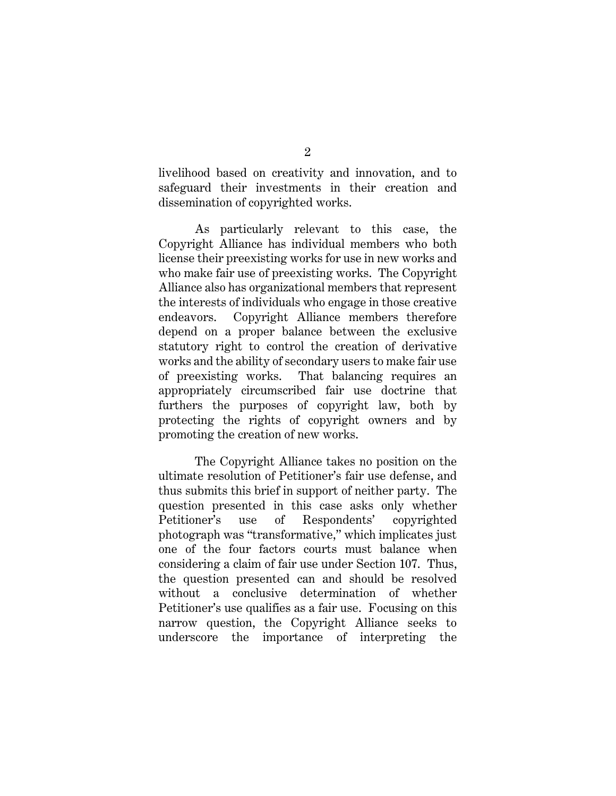livelihood based on creativity and innovation, and to safeguard their investments in their creation and dissemination of copyrighted works.

As particularly relevant to this case, the Copyright Alliance has individual members who both license their preexisting works for use in new works and who make fair use of preexisting works. The Copyright Alliance also has organizational members that represent the interests of individuals who engage in those creative endeavors. Copyright Alliance members therefore depend on a proper balance between the exclusive statutory right to control the creation of derivative works and the ability of secondary users to make fair use of preexisting works. That balancing requires an appropriately circumscribed fair use doctrine that furthers the purposes of copyright law, both by protecting the rights of copyright owners and by promoting the creation of new works.

The Copyright Alliance takes no position on the ultimate resolution of Petitioner's fair use defense, and thus submits this brief in support of neither party. The question presented in this case asks only whether Petitioner's use of Respondents' copyrighted photograph was "transformative," which implicates just one of the four factors courts must balance when considering a claim of fair use under Section 107. Thus, the question presented can and should be resolved without a conclusive determination of whether Petitioner's use qualifies as a fair use. Focusing on this narrow question, the Copyright Alliance seeks to underscore the importance of interpreting the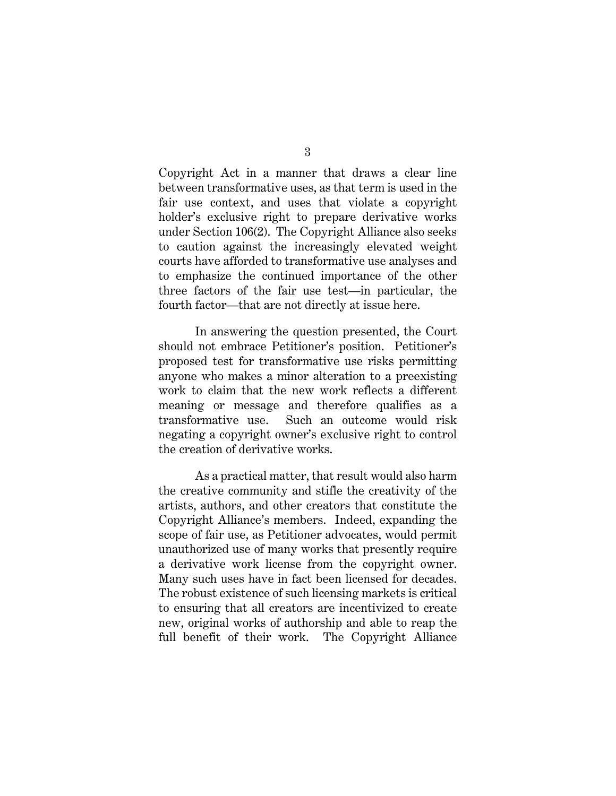Copyright Act in a manner that draws a clear line between transformative uses, as that term is used in the fair use context, and uses that violate a copyright holder's exclusive right to prepare derivative works under Section 106(2). The Copyright Alliance also seeks to caution against the increasingly elevated weight courts have afforded to transformative use analyses and to emphasize the continued importance of the other three factors of the fair use test—in particular, the fourth factor—that are not directly at issue here.

In answering the question presented, the Court should not embrace Petitioner's position. Petitioner's proposed test for transformative use risks permitting anyone who makes a minor alteration to a preexisting work to claim that the new work reflects a different meaning or message and therefore qualifies as a transformative use. Such an outcome would risk negating a copyright owner's exclusive right to control the creation of derivative works.

As a practical matter, that result would also harm the creative community and stifle the creativity of the artists, authors, and other creators that constitute the Copyright Alliance's members. Indeed, expanding the scope of fair use, as Petitioner advocates, would permit unauthorized use of many works that presently require a derivative work license from the copyright owner. Many such uses have in fact been licensed for decades. The robust existence of such licensing markets is critical to ensuring that all creators are incentivized to create new, original works of authorship and able to reap the full benefit of their work. The Copyright Alliance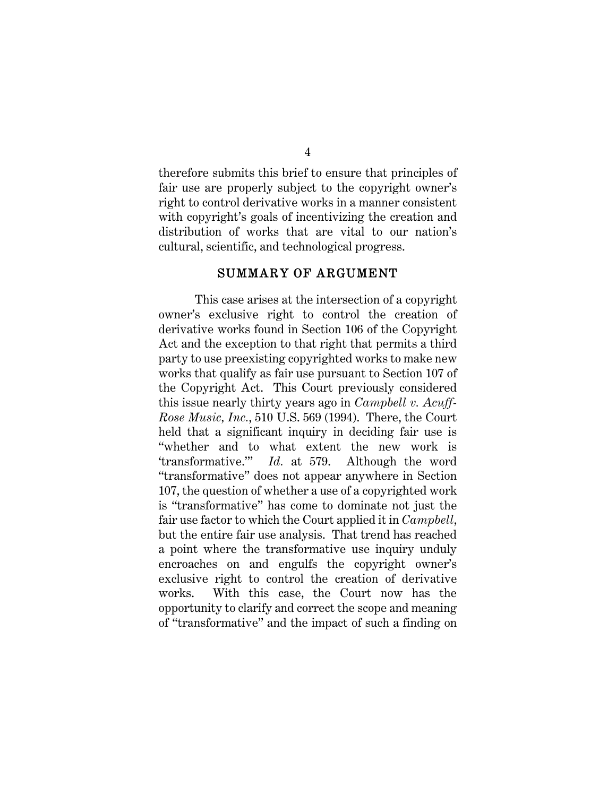therefore submits this brief to ensure that principles of fair use are properly subject to the copyright owner's right to control derivative works in a manner consistent with copyright's goals of incentivizing the creation and distribution of works that are vital to our nation's cultural, scientific, and technological progress.

#### SUMMARY OF ARGUMENT

This case arises at the intersection of a copyright owner's exclusive right to control the creation of derivative works found in Section 106 of the Copyright Act and the exception to that right that permits a third party to use preexisting copyrighted works to make new works that qualify as fair use pursuant to Section 107 of the Copyright Act. This Court previously considered this issue nearly thirty years ago in *Campbell v. Acuff-Rose Music, Inc.*, 510 U.S. 569 (1994). There, the Court held that a significant inquiry in deciding fair use is "whether and to what extent the new work is 'transformative.'" *Id.* at 579. Although the word "transformative" does not appear anywhere in Section 107, the question of whether a use of a copyrighted work is "transformative" has come to dominate not just the fair use factor to which the Court applied it in *Campbell*, but the entire fair use analysis. That trend has reached a point where the transformative use inquiry unduly encroaches on and engulfs the copyright owner's exclusive right to control the creation of derivative works. With this case, the Court now has the opportunity to clarify and correct the scope and meaning of "transformative" and the impact of such a finding on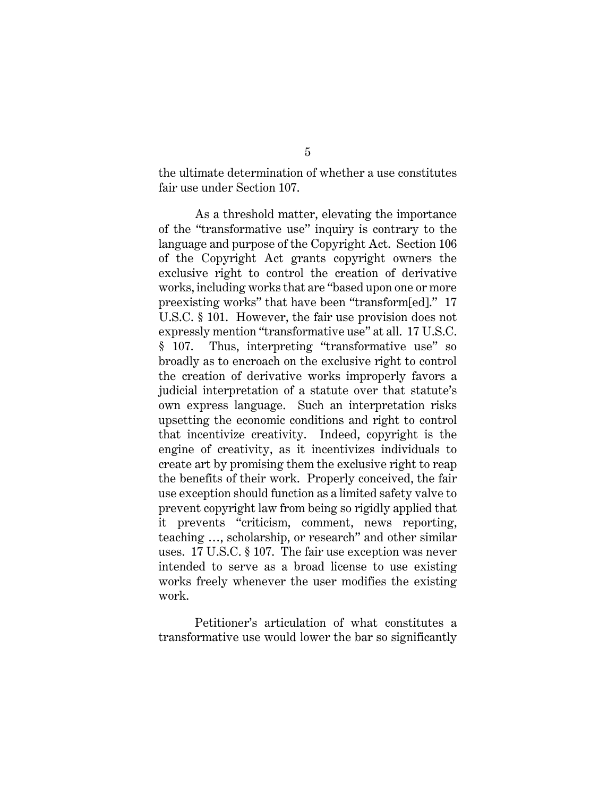the ultimate determination of whether a use constitutes fair use under Section 107.

As a threshold matter, elevating the importance of the "transformative use" inquiry is contrary to the language and purpose of the Copyright Act. Section 106 of the Copyright Act grants copyright owners the exclusive right to control the creation of derivative works, including works that are "based upon one or more preexisting works" that have been "transform[ed]." 17 U.S.C. § 101. However, the fair use provision does not expressly mention "transformative use" at all. 17 U.S.C. § 107. Thus, interpreting "transformative use" so broadly as to encroach on the exclusive right to control the creation of derivative works improperly favors a judicial interpretation of a statute over that statute's own express language. Such an interpretation risks upsetting the economic conditions and right to control that incentivize creativity. Indeed, copyright is the engine of creativity, as it incentivizes individuals to create art by promising them the exclusive right to reap the benefits of their work. Properly conceived, the fair use exception should function as a limited safety valve to prevent copyright law from being so rigidly applied that it prevents "criticism, comment, news reporting, teaching …, scholarship, or research" and other similar uses. 17 U.S.C. § 107. The fair use exception was never intended to serve as a broad license to use existing works freely whenever the user modifies the existing work.

Petitioner's articulation of what constitutes a transformative use would lower the bar so significantly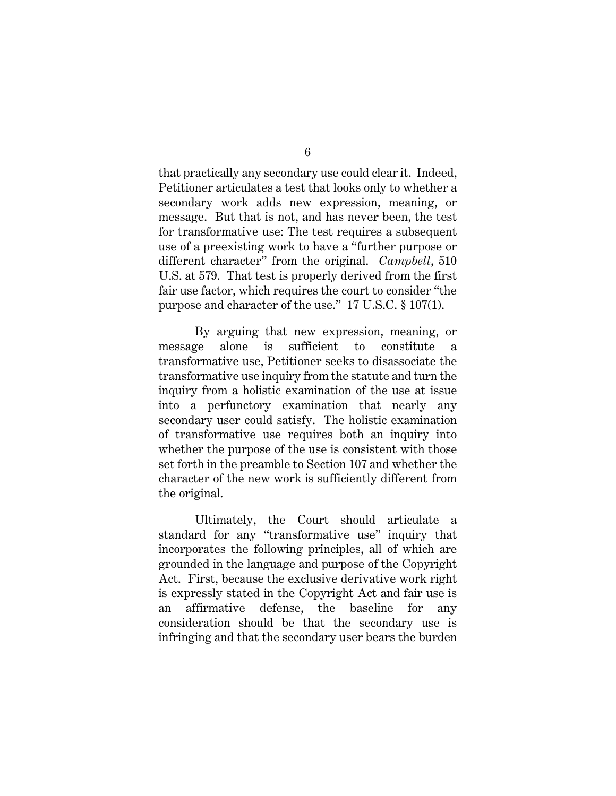that practically any secondary use could clear it. Indeed, Petitioner articulates a test that looks only to whether a secondary work adds new expression, meaning, or message. But that is not, and has never been, the test for transformative use: The test requires a subsequent use of a preexisting work to have a "further purpose or different character" from the original. *Campbell*, 510 U.S. at 579. That test is properly derived from the first fair use factor, which requires the court to consider "the purpose and character of the use." 17 U.S.C. § 107(1).

By arguing that new expression, meaning, or message alone is sufficient to constitute a transformative use, Petitioner seeks to disassociate the transformative use inquiry from the statute and turn the inquiry from a holistic examination of the use at issue into a perfunctory examination that nearly any secondary user could satisfy. The holistic examination of transformative use requires both an inquiry into whether the purpose of the use is consistent with those set forth in the preamble to Section 107 and whether the character of the new work is sufficiently different from the original.

Ultimately, the Court should articulate a standard for any "transformative use" inquiry that incorporates the following principles, all of which are grounded in the language and purpose of the Copyright Act. First, because the exclusive derivative work right is expressly stated in the Copyright Act and fair use is an affirmative defense, the baseline for any consideration should be that the secondary use is infringing and that the secondary user bears the burden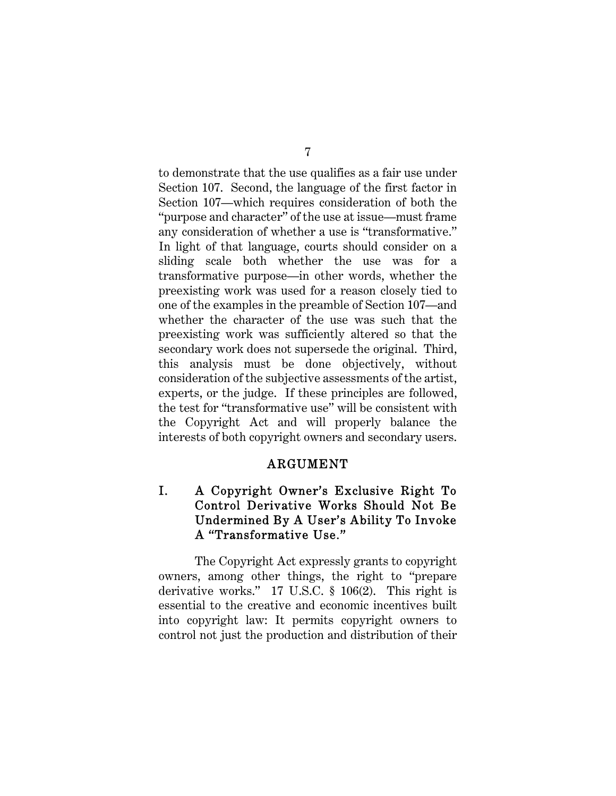to demonstrate that the use qualifies as a fair use under Section 107. Second, the language of the first factor in Section 107—which requires consideration of both the "purpose and character" of the use at issue—must frame any consideration of whether a use is "transformative." In light of that language, courts should consider on a sliding scale both whether the use was for a transformative purpose—in other words, whether the preexisting work was used for a reason closely tied to one of the examples in the preamble of Section 107—and whether the character of the use was such that the preexisting work was sufficiently altered so that the secondary work does not supersede the original. Third, this analysis must be done objectively, without consideration of the subjective assessments of the artist, experts, or the judge. If these principles are followed, the test for "transformative use" will be consistent with the Copyright Act and will properly balance the interests of both copyright owners and secondary users.

#### ARGUMENT

# I. A Copyright Owner's Exclusive Right To Control Derivative Works Should Not Be Undermined By A User's Ability To Invoke A "Transformative Use."

The Copyright Act expressly grants to copyright owners, among other things, the right to "prepare derivative works." 17 U.S.C. § 106(2). This right is essential to the creative and economic incentives built into copyright law: It permits copyright owners to control not just the production and distribution of their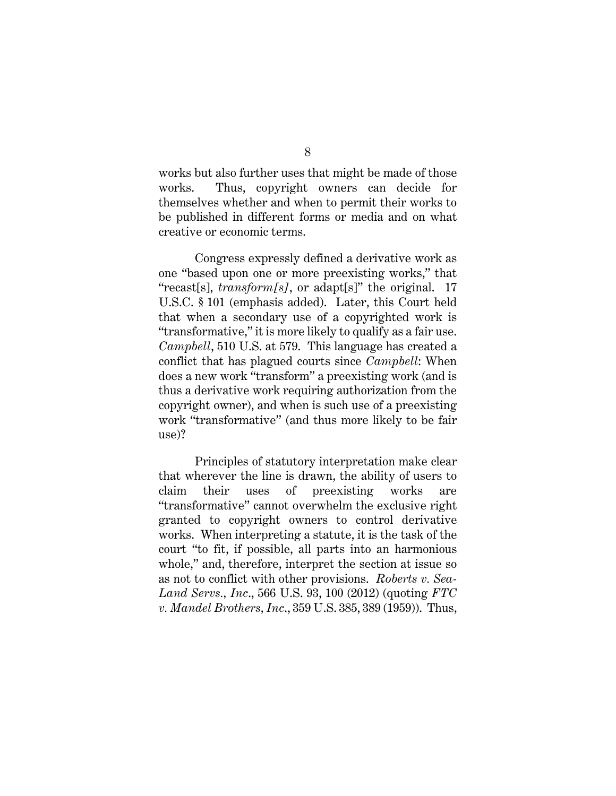works but also further uses that might be made of those works. Thus, copyright owners can decide for themselves whether and when to permit their works to be published in different forms or media and on what creative or economic terms.

Congress expressly defined a derivative work as one "based upon one or more preexisting works," that "recast[s], *transform[s]*, or adapt[s]" the original. 17 U.S.C. § 101 (emphasis added). Later, this Court held that when a secondary use of a copyrighted work is "transformative," it is more likely to qualify as a fair use. *Campbell*, 510 U.S. at 579. This language has created a conflict that has plagued courts since *Campbell*: When does a new work "transform" a preexisting work (and is thus a derivative work requiring authorization from the copyright owner), and when is such use of a preexisting work "transformative" (and thus more likely to be fair use)?

Principles of statutory interpretation make clear that wherever the line is drawn, the ability of users to claim their uses of preexisting works are "transformative" cannot overwhelm the exclusive right granted to copyright owners to control derivative works. When interpreting a statute, it is the task of the court "to fit, if possible, all parts into an harmonious whole," and, therefore, interpret the section at issue so as not to conflict with other provisions. *Roberts v. Sea-Land Servs., Inc*., 566 U.S. 93, 100 (2012) (quoting *FTC v. Mandel Brothers, Inc*., 359 U.S. 385, 389 (1959)). Thus,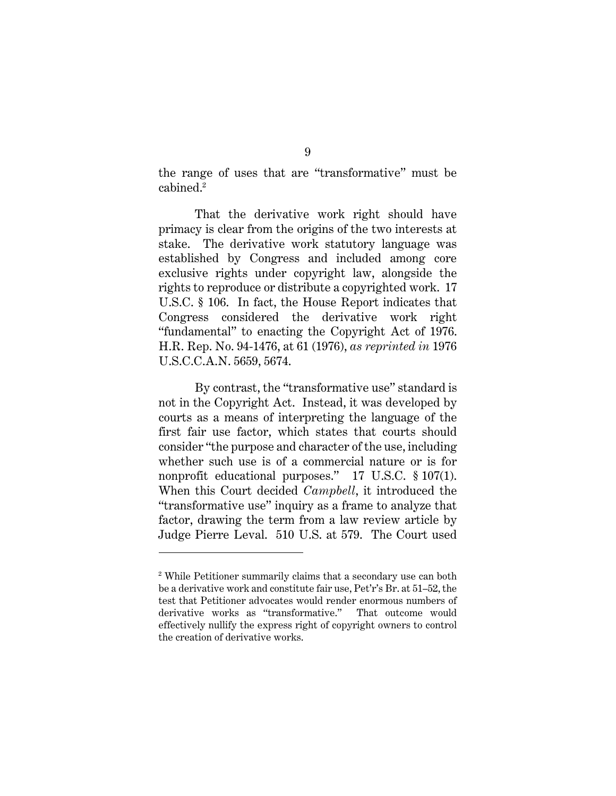the range of uses that are "transformative" must be cabined.<sup>2</sup>

That the derivative work right should have primacy is clear from the origins of the two interests at stake. The derivative work statutory language was established by Congress and included among core exclusive rights under copyright law, alongside the rights to reproduce or distribute a copyrighted work. 17 U.S.C. § 106. In fact, the House Report indicates that Congress considered the derivative work right "fundamental" to enacting the Copyright Act of 1976. H.R. Rep. No. 94-1476, at 61 (1976), *as reprinted in* 1976 U.S.C.C.A.N. 5659, 5674.

By contrast, the "transformative use" standard is not in the Copyright Act. Instead, it was developed by courts as a means of interpreting the language of the first fair use factor, which states that courts should consider "the purpose and character of the use, including whether such use is of a commercial nature or is for nonprofit educational purposes." 17 U.S.C. § 107(1). When this Court decided *Campbell*, it introduced the "transformative use" inquiry as a frame to analyze that factor, drawing the term from a law review article by Judge Pierre Leval. 510 U.S. at 579. The Court used

<sup>2</sup> While Petitioner summarily claims that a secondary use can both be a derivative work and constitute fair use, Pet'r's Br. at 51–52, the test that Petitioner advocates would render enormous numbers of derivative works as "transformative." That outcome would effectively nullify the express right of copyright owners to control the creation of derivative works.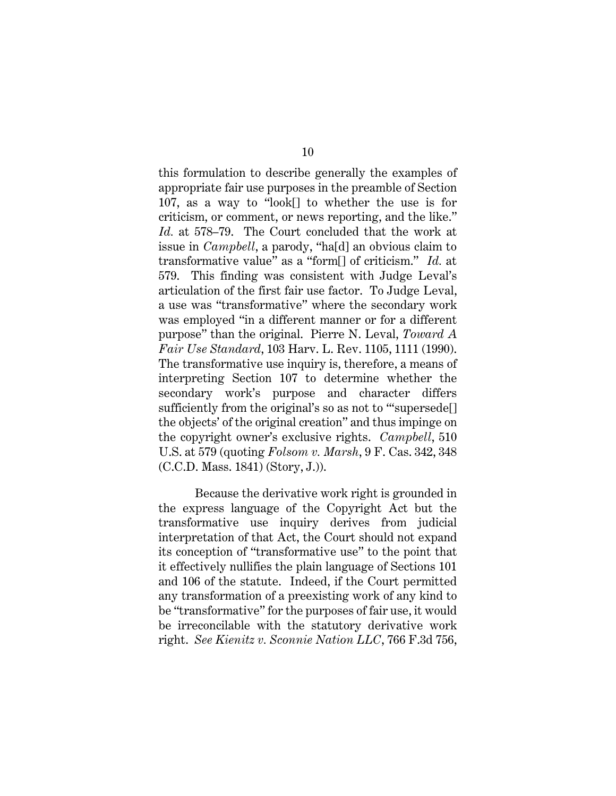this formulation to describe generally the examples of appropriate fair use purposes in the preamble of Section 107, as a way to "look[] to whether the use is for criticism, or comment, or news reporting, and the like." *Id.* at 578–79. The Court concluded that the work at issue in *Campbell*, a parody, "ha[d] an obvious claim to transformative value" as a "form[] of criticism." *Id.* at 579. This finding was consistent with Judge Leval's articulation of the first fair use factor. To Judge Leval, a use was "transformative" where the secondary work was employed "in a different manner or for a different purpose" than the original. Pierre N. Leval, *Toward A Fair Use Standard*, 103 Harv. L. Rev. 1105, 1111 (1990). The transformative use inquiry is, therefore, a means of interpreting Section 107 to determine whether the secondary work's purpose and character differs sufficiently from the original's so as not to "supersede[] the objects' of the original creation" and thus impinge on the copyright owner's exclusive rights. *Campbell*, 510 U.S. at 579 (quoting *Folsom v. Marsh*, 9 F. Cas. 342, 348 (C.C.D. Mass. 1841) (Story, J.)).

Because the derivative work right is grounded in the express language of the Copyright Act but the transformative use inquiry derives from judicial interpretation of that Act, the Court should not expand its conception of "transformative use" to the point that it effectively nullifies the plain language of Sections 101 and 106 of the statute. Indeed, if the Court permitted any transformation of a preexisting work of any kind to be "transformative" for the purposes of fair use, it would be irreconcilable with the statutory derivative work right. *See Kienitz v. Sconnie Nation LLC*, 766 F.3d 756,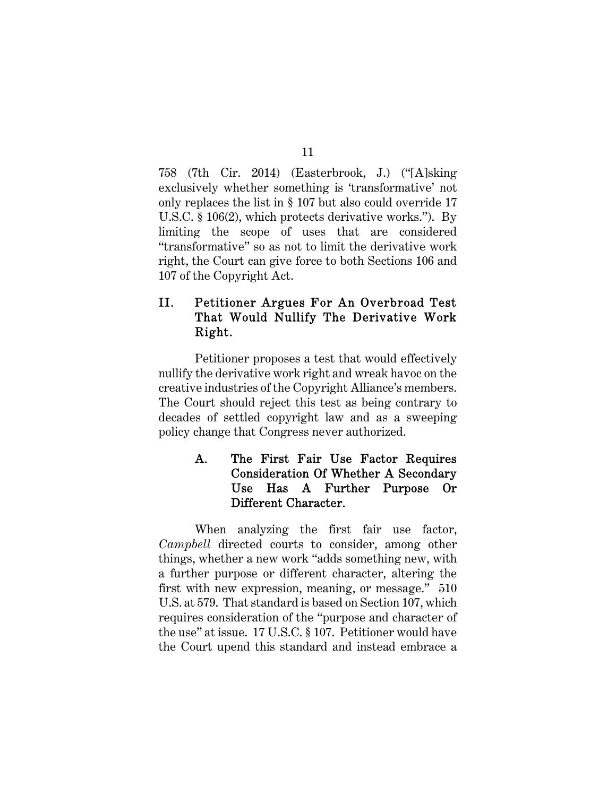758 (7th Cir. 2014) (Easterbrook, J.) ("[A]sking exclusively whether something is 'transformative' not only replaces the list in § 107 but also could override 17 U.S.C. § 106(2), which protects derivative works."). By limiting the scope of uses that are considered "transformative" so as not to limit the derivative work right, the Court can give force to both Sections 106 and 107 of the Copyright Act.

# II. Petitioner Argues For An Overbroad Test That Would Nullify The Derivative Work Right.

Petitioner proposes a test that would effectively nullify the derivative work right and wreak havoc on the creative industries of the Copyright Alliance's members. The Court should reject this test as being contrary to decades of settled copyright law and as a sweeping policy change that Congress never authorized.

# A. The First Fair Use Factor Requires Consideration Of Whether A Secondary Use Has A Further Purpose Or Different Character.

When analyzing the first fair use factor, *Campbell* directed courts to consider, among other things, whether a new work "adds something new, with a further purpose or different character, altering the first with new expression, meaning, or message." 510 U.S. at 579. That standard is based on Section 107, which requires consideration of the "purpose and character of the use" at issue. 17 U.S.C. § 107. Petitioner would have the Court upend this standard and instead embrace a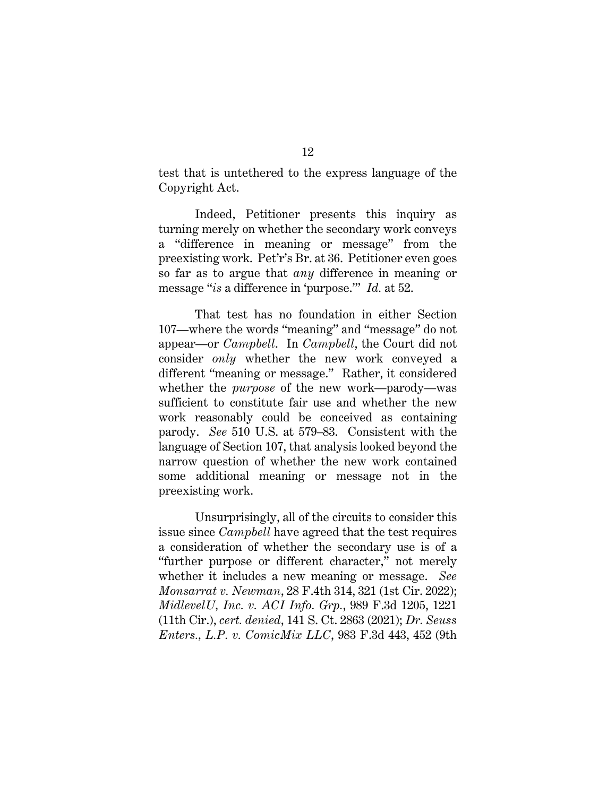test that is untethered to the express language of the Copyright Act.

Indeed, Petitioner presents this inquiry as turning merely on whether the secondary work conveys a "difference in meaning or message" from the preexisting work. Pet'r's Br. at 36. Petitioner even goes so far as to argue that *any* difference in meaning or message "*is* a difference in 'purpose.'" *Id.* at 52.

That test has no foundation in either Section 107—where the words "meaning" and "message" do not appear—or *Campbell*. In *Campbell*, the Court did not consider *only* whether the new work conveyed a different "meaning or message." Rather, it considered whether the *purpose* of the new work—parody—was sufficient to constitute fair use and whether the new work reasonably could be conceived as containing parody. *See* 510 U.S. at 579–83. Consistent with the language of Section 107, that analysis looked beyond the narrow question of whether the new work contained some additional meaning or message not in the preexisting work.

Unsurprisingly, all of the circuits to consider this issue since *Campbell* have agreed that the test requires a consideration of whether the secondary use is of a "further purpose or different character," not merely whether it includes a new meaning or message. *See Monsarrat v. Newman*, 28 F.4th 314, 321 (1st Cir. 2022); *MidlevelU, Inc. v. ACI Info. Grp.*, 989 F.3d 1205, 1221 (11th Cir.), *cert. denied*, 141 S. Ct. 2863 (2021); *Dr. Seuss Enters., L.P. v. ComicMix LLC*, 983 F.3d 443, 452 (9th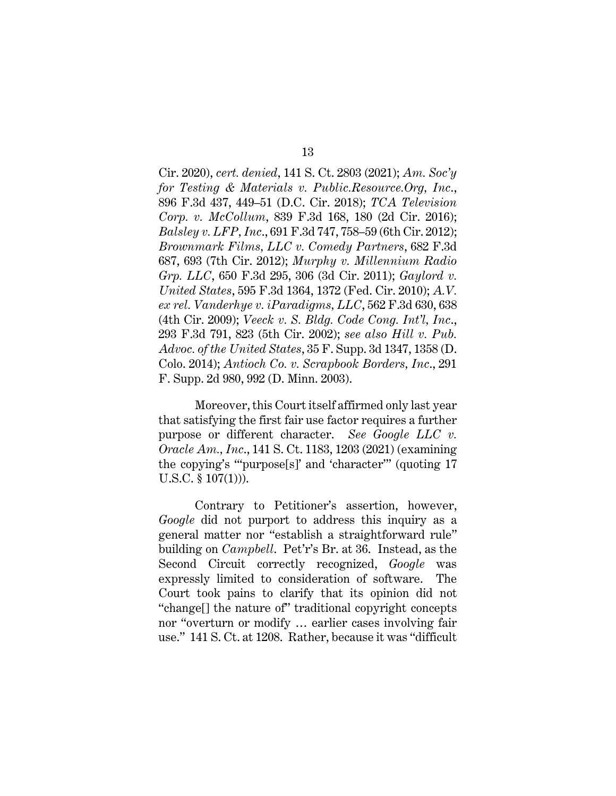Cir. 2020), *cert. denied*, 141 S. Ct. 2803 (2021); *Am. Soc'y for Testing & Materials v. Public.Resource.Org, Inc*., 896 F.3d 437, 449–51 (D.C. Cir. 2018); *TCA Television Corp. v. McCollum*, 839 F.3d 168, 180 (2d Cir. 2016); *Balsley v. LFP, Inc*., 691 F.3d 747, 758–59 (6th Cir. 2012); *Brownmark Films, LLC v. Comedy Partners*, 682 F.3d 687, 693 (7th Cir. 2012); *Murphy v. Millennium Radio Grp. LLC*, 650 F.3d 295, 306 (3d Cir. 2011); *Gaylord v. United States*, 595 F.3d 1364, 1372 (Fed. Cir. 2010); *A.V. ex rel. Vanderhye v. iParadigms, LLC*, 562 F.3d 630, 638 (4th Cir. 2009); *Veeck v. S. Bldg. Code Cong. Int'l, Inc*., 293 F.3d 791, 823 (5th Cir. 2002); *see also Hill v. Pub. Advoc. of the United States*, 35 F. Supp. 3d 1347, 1358 (D. Colo. 2014); *Antioch Co. v. Scrapbook Borders, Inc*., 291 F. Supp. 2d 980, 992 (D. Minn. 2003).

Moreover, this Court itself affirmed only last year that satisfying the first fair use factor requires a further purpose or different character. *See Google LLC v. Oracle Am., Inc*., 141 S. Ct. 1183, 1203 (2021) (examining the copying's "'purpose[s]' and 'character'" (quoting 17 U.S.C. § 107(1))).

Contrary to Petitioner's assertion, however, *Google* did not purport to address this inquiry as a general matter nor "establish a straightforward rule" building on *Campbell*. Pet'r's Br. at 36. Instead, as the Second Circuit correctly recognized, *Google* was expressly limited to consideration of software. The Court took pains to clarify that its opinion did not "change[] the nature of" traditional copyright concepts nor "overturn or modify … earlier cases involving fair use." 141 S. Ct. at 1208. Rather, because it was "difficult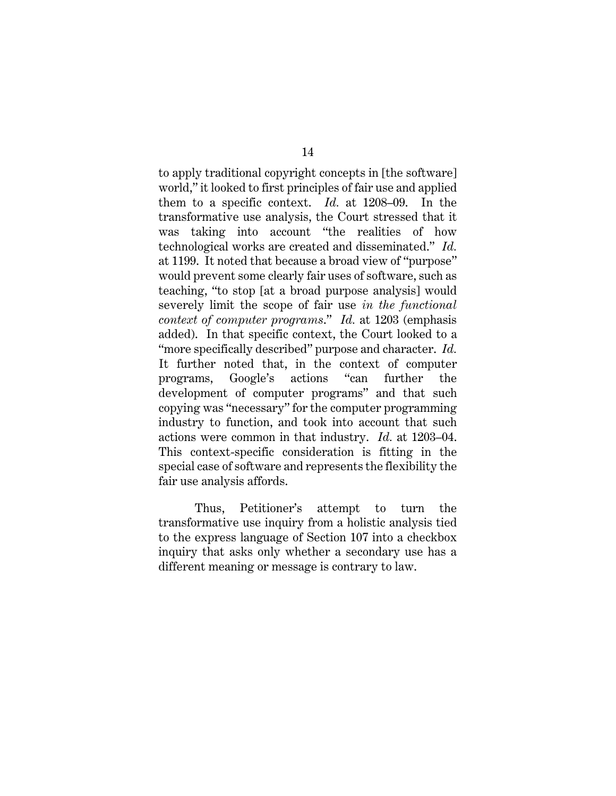to apply traditional copyright concepts in [the software] world," it looked to first principles of fair use and applied them to a specific context. *Id.* at 1208–09. In the transformative use analysis, the Court stressed that it was taking into account "the realities of how technological works are created and disseminated." *Id.*  at 1199. It noted that because a broad view of "purpose" would prevent some clearly fair uses of software, such as teaching, "to stop [at a broad purpose analysis] would severely limit the scope of fair use *in the functional context of computer programs*." *Id.* at 1203 (emphasis added). In that specific context, the Court looked to a "more specifically described" purpose and character. *Id.*  It further noted that, in the context of computer programs, Google's actions "can further the development of computer programs" and that such copying was "necessary" for the computer programming industry to function, and took into account that such actions were common in that industry. *Id.* at 1203–04. This context-specific consideration is fitting in the special case of software and represents the flexibility the fair use analysis affords.

Thus, Petitioner's attempt to turn the transformative use inquiry from a holistic analysis tied to the express language of Section 107 into a checkbox inquiry that asks only whether a secondary use has a different meaning or message is contrary to law.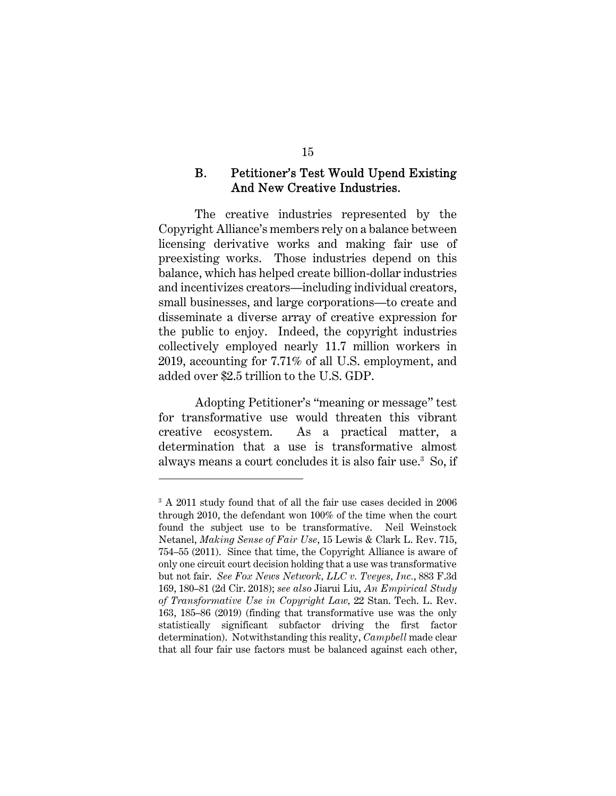### B. Petitioner's Test Would Upend Existing And New Creative Industries.

The creative industries represented by the Copyright Alliance's members rely on a balance between licensing derivative works and making fair use of preexisting works. Those industries depend on this balance, which has helped create billion-dollar industries and incentivizes creators—including individual creators, small businesses, and large corporations—to create and disseminate a diverse array of creative expression for the public to enjoy. Indeed, the copyright industries collectively employed nearly 11.7 million workers in 2019, accounting for 7.71% of all U.S. employment, and added over \$2.5 trillion to the U.S. GDP.

Adopting Petitioner's "meaning or message" test for transformative use would threaten this vibrant creative ecosystem. As a practical matter, a determination that a use is transformative almost always means a court concludes it is also fair use.<sup>3</sup> So, if

<sup>&</sup>lt;sup>3</sup> A 2011 study found that of all the fair use cases decided in 2006 through 2010, the defendant won 100% of the time when the court found the subject use to be transformative. Neil Weinstock Netanel, *Making Sense of Fair Use*, 15 Lewis & Clark L. Rev. 715, 754–55 (2011). Since that time, the Copyright Alliance is aware of only one circuit court decision holding that a use was transformative but not fair. *See Fox News Network, LLC v. Tveyes, Inc.*, 883 F.3d 169, 180–81 (2d Cir. 2018); *see also* Jiarui Liu, *An Empirical Study of Transformative Use in Copyright Law,* 22 Stan. Tech. L. Rev. 163, 185–86 (2019) (finding that transformative use was the only statistically significant subfactor driving the first factor determination). Notwithstanding this reality, *Campbell* made clear that all four fair use factors must be balanced against each other,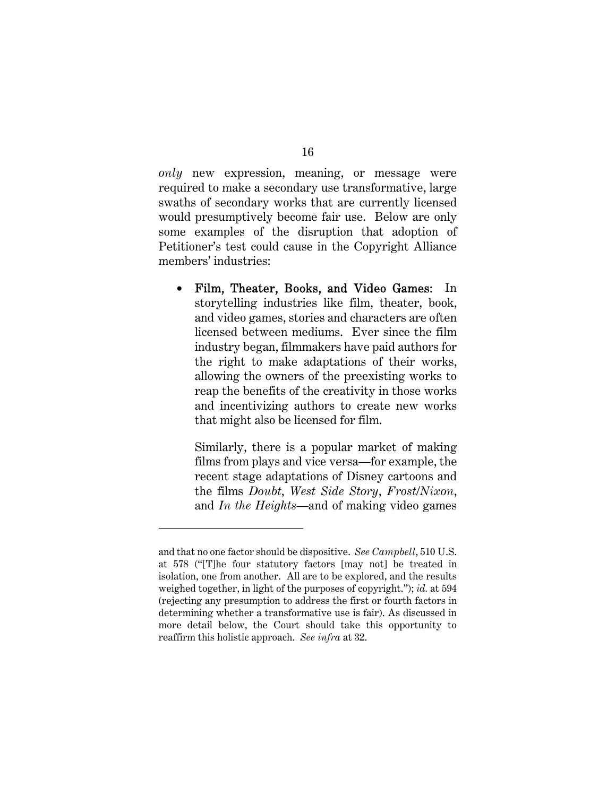*only* new expression, meaning, or message were required to make a secondary use transformative, large swaths of secondary works that are currently licensed would presumptively become fair use. Below are only some examples of the disruption that adoption of Petitioner's test could cause in the Copyright Alliance members' industries:

 Film, Theater, Books, and Video Games: In storytelling industries like film, theater, book, and video games, stories and characters are often licensed between mediums. Ever since the film industry began, filmmakers have paid authors for the right to make adaptations of their works, allowing the owners of the preexisting works to reap the benefits of the creativity in those works and incentivizing authors to create new works that might also be licensed for film.

Similarly, there is a popular market of making films from plays and vice versa—for example, the recent stage adaptations of Disney cartoons and the films *Doubt*, *West Side Story*, *Frost/Nixon*, and *In the Heights*—and of making video games

and that no one factor should be dispositive. *See Campbell*, 510 U.S. at 578 ("[T]he four statutory factors [may not] be treated in isolation, one from another. All are to be explored, and the results weighed together, in light of the purposes of copyright."); *id.* at 594 (rejecting any presumption to address the first or fourth factors in determining whether a transformative use is fair). As discussed in more detail below, the Court should take this opportunity to reaffirm this holistic approach. *See infra* at 32.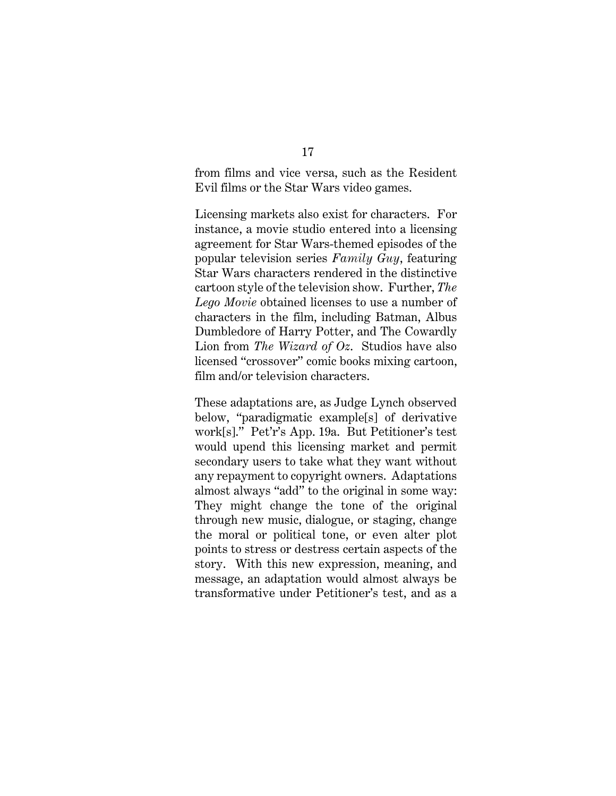### from films and vice versa, such as the Resident Evil films or the Star Wars video games.

Licensing markets also exist for characters. For instance, a movie studio entered into a licensing agreement for Star Wars-themed episodes of the popular television series *Family Guy*, featuring Star Wars characters rendered in the distinctive cartoon style of the television show. Further, *The Lego Movie* obtained licenses to use a number of characters in the film, including Batman, Albus Dumbledore of Harry Potter, and The Cowardly Lion from *The Wizard of Oz*. Studios have also licensed "crossover" comic books mixing cartoon, film and/or television characters.

These adaptations are, as Judge Lynch observed below, "paradigmatic example[s] of derivative work[s]." Pet'r's App. 19a. But Petitioner's test would upend this licensing market and permit secondary users to take what they want without any repayment to copyright owners. Adaptations almost always "add" to the original in some way: They might change the tone of the original through new music, dialogue, or staging, change the moral or political tone, or even alter plot points to stress or destress certain aspects of the story. With this new expression, meaning, and message, an adaptation would almost always be transformative under Petitioner's test, and as a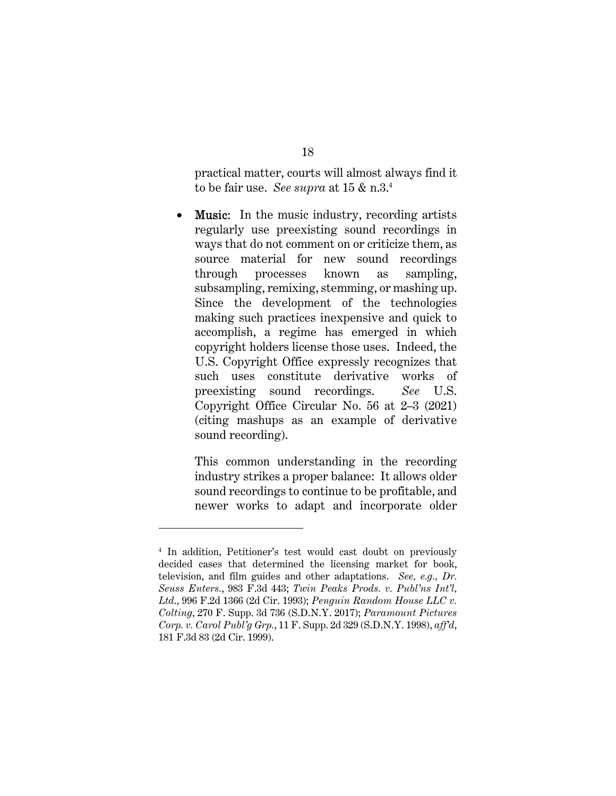practical matter, courts will almost always find it to be fair use. *See supra* at 15 & n.3.<sup>4</sup>

• Music: In the music industry, recording artists regularly use preexisting sound recordings in ways that do not comment on or criticize them, as source material for new sound recordings through processes known as sampling, subsampling, remixing, stemming, or mashing up. Since the development of the technologies making such practices inexpensive and quick to accomplish, a regime has emerged in which copyright holders license those uses. Indeed, the U.S. Copyright Office expressly recognizes that such uses constitute derivative works of preexisting sound recordings. *See* U.S. Copyright Office Circular No. 56 at 2–3 (2021) (citing mashups as an example of derivative sound recording).

This common understanding in the recording industry strikes a proper balance: It allows older sound recordings to continue to be profitable, and newer works to adapt and incorporate older

<sup>4</sup> In addition, Petitioner's test would cast doubt on previously decided cases that determined the licensing market for book, television, and film guides and other adaptations. *See, e.g., Dr. Seuss Enters.*, 983 F.3d 443; *Twin Peaks Prods. v. Publ'ns Int'l, Ltd*., 996 F.2d 1366 (2d Cir. 1993); *Penguin Random House LLC v. Colting*, 270 F. Supp. 3d 736 (S.D.N.Y. 2017); *Paramount Pictures Corp. v. Carol Publ'g Grp.*, 11 F. Supp. 2d 329 (S.D.N.Y. 1998), *aff'd*, 181 F.3d 83 (2d Cir. 1999).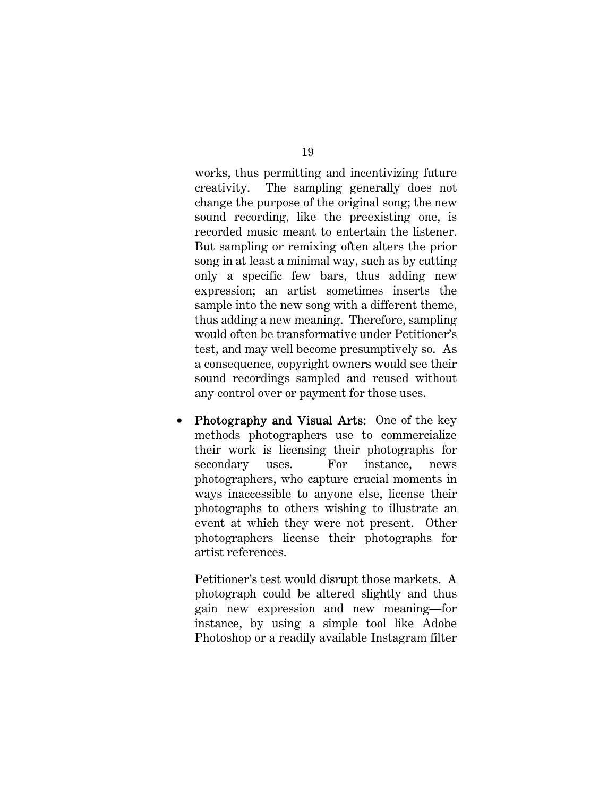works, thus permitting and incentivizing future creativity. The sampling generally does not change the purpose of the original song; the new sound recording, like the preexisting one, is recorded music meant to entertain the listener. But sampling or remixing often alters the prior song in at least a minimal way, such as by cutting only a specific few bars, thus adding new expression; an artist sometimes inserts the sample into the new song with a different theme, thus adding a new meaning. Therefore, sampling would often be transformative under Petitioner's test, and may well become presumptively so. As a consequence, copyright owners would see their sound recordings sampled and reused without any control over or payment for those uses.

• Photography and Visual Arts: One of the key methods photographers use to commercialize their work is licensing their photographs for secondary uses. For instance, news photographers, who capture crucial moments in ways inaccessible to anyone else, license their photographs to others wishing to illustrate an event at which they were not present. Other photographers license their photographs for artist references.

Petitioner's test would disrupt those markets. A photograph could be altered slightly and thus gain new expression and new meaning—for instance, by using a simple tool like Adobe Photoshop or a readily available Instagram filter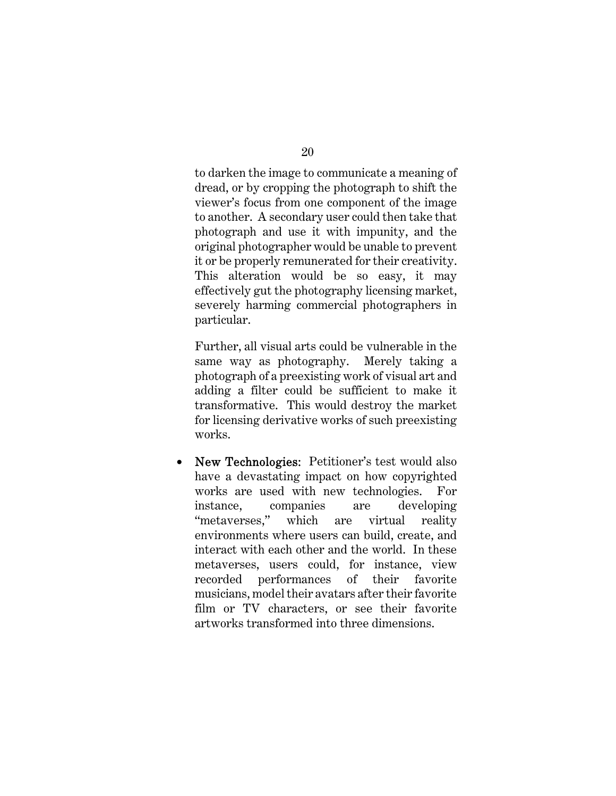to darken the image to communicate a meaning of dread, or by cropping the photograph to shift the viewer's focus from one component of the image to another. A secondary user could then take that photograph and use it with impunity, and the original photographer would be unable to prevent it or be properly remunerated for their creativity. This alteration would be so easy, it may effectively gut the photography licensing market, severely harming commercial photographers in particular.

Further, all visual arts could be vulnerable in the same way as photography. Merely taking a photograph of a preexisting work of visual art and adding a filter could be sufficient to make it transformative. This would destroy the market for licensing derivative works of such preexisting works.

• New Technologies: Petitioner's test would also have a devastating impact on how copyrighted works are used with new technologies. For instance, companies are developing "metaverses," which are virtual reality environments where users can build, create, and interact with each other and the world. In these metaverses, users could, for instance, view recorded performances of their favorite musicians, model their avatars after their favorite film or TV characters, or see their favorite artworks transformed into three dimensions.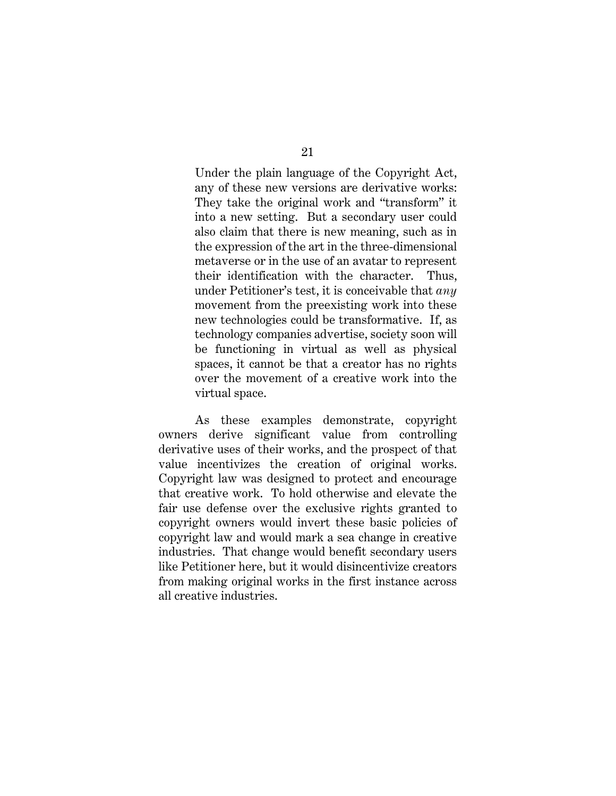Under the plain language of the Copyright Act, any of these new versions are derivative works: They take the original work and "transform" it into a new setting. But a secondary user could also claim that there is new meaning, such as in the expression of the art in the three-dimensional metaverse or in the use of an avatar to represent their identification with the character. Thus, under Petitioner's test, it is conceivable that *any* movement from the preexisting work into these new technologies could be transformative. If, as technology companies advertise, society soon will be functioning in virtual as well as physical spaces, it cannot be that a creator has no rights over the movement of a creative work into the virtual space.

As these examples demonstrate, copyright owners derive significant value from controlling derivative uses of their works, and the prospect of that value incentivizes the creation of original works. Copyright law was designed to protect and encourage that creative work. To hold otherwise and elevate the fair use defense over the exclusive rights granted to copyright owners would invert these basic policies of copyright law and would mark a sea change in creative industries. That change would benefit secondary users like Petitioner here, but it would disincentivize creators from making original works in the first instance across all creative industries.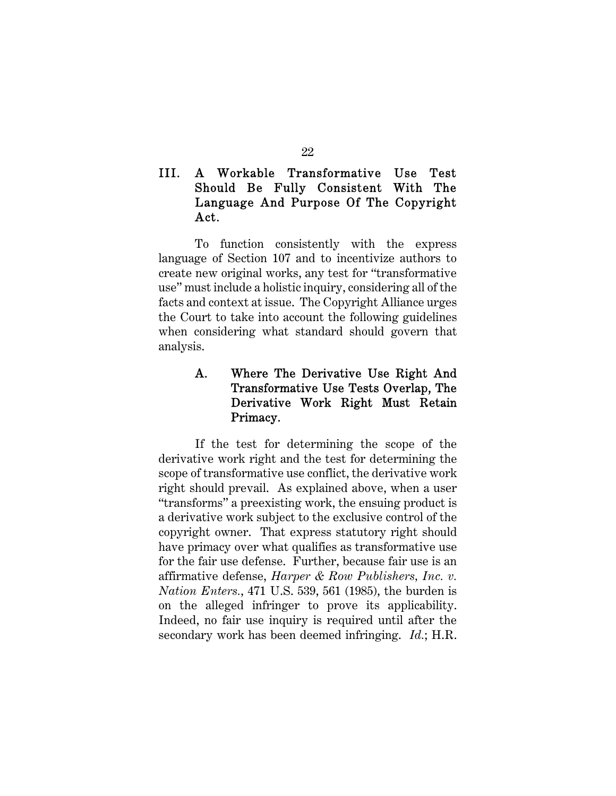# III. A Workable Transformative Use Test Should Be Fully Consistent With The Language And Purpose Of The Copyright Act.

To function consistently with the express language of Section 107 and to incentivize authors to create new original works, any test for "transformative use" must include a holistic inquiry, considering all of the facts and context at issue. The Copyright Alliance urges the Court to take into account the following guidelines when considering what standard should govern that analysis.

# A. Where The Derivative Use Right And Transformative Use Tests Overlap, The Derivative Work Right Must Retain Primacy.

If the test for determining the scope of the derivative work right and the test for determining the scope of transformative use conflict, the derivative work right should prevail. As explained above, when a user "transforms" a preexisting work, the ensuing product is a derivative work subject to the exclusive control of the copyright owner. That express statutory right should have primacy over what qualifies as transformative use for the fair use defense. Further, because fair use is an affirmative defense, *Harper & Row Publishers, Inc. v. Nation Enters.*, 471 U.S. 539, 561 (1985), the burden is on the alleged infringer to prove its applicability. Indeed, no fair use inquiry is required until after the secondary work has been deemed infringing. *Id.*; H.R.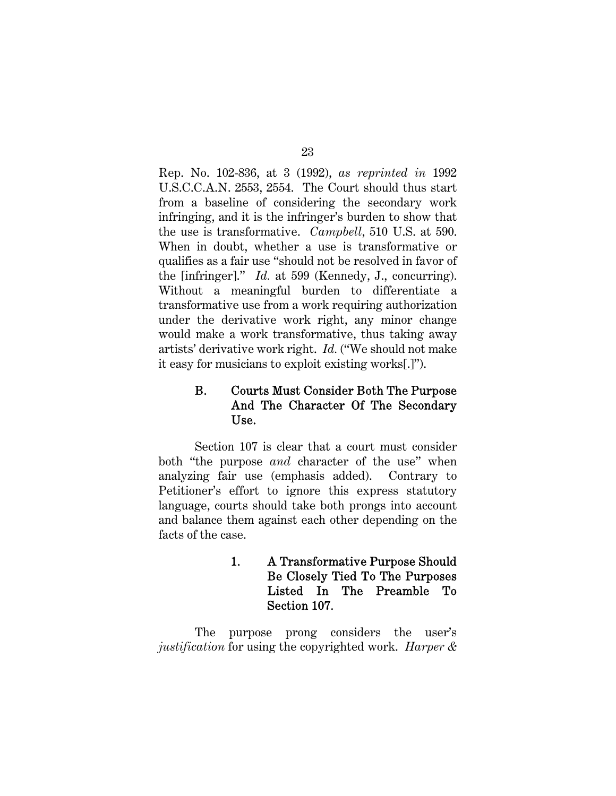Rep. No. 102-836, at 3 (1992), *as reprinted in* 1992 U.S.C.C.A.N. 2553, 2554. The Court should thus start from a baseline of considering the secondary work infringing, and it is the infringer's burden to show that the use is transformative. *Campbell*, 510 U.S. at 590. When in doubt, whether a use is transformative or qualifies as a fair use "should not be resolved in favor of the [infringer]." *Id.* at 599 (Kennedy, J., concurring). Without a meaningful burden to differentiate a transformative use from a work requiring authorization under the derivative work right, any minor change would make a work transformative, thus taking away artists' derivative work right. *Id.* ("We should not make it easy for musicians to exploit existing works[.]").

# B. Courts Must Consider Both The Purpose And The Character Of The Secondary Use.

Section 107 is clear that a court must consider both "the purpose *and* character of the use" when analyzing fair use (emphasis added). Contrary to Petitioner's effort to ignore this express statutory language, courts should take both prongs into account and balance them against each other depending on the facts of the case.

> 1. A Transformative Purpose Should Be Closely Tied To The Purposes Listed In The Preamble To Section 107.

The purpose prong considers the user's *justification* for using the copyrighted work. *Harper &*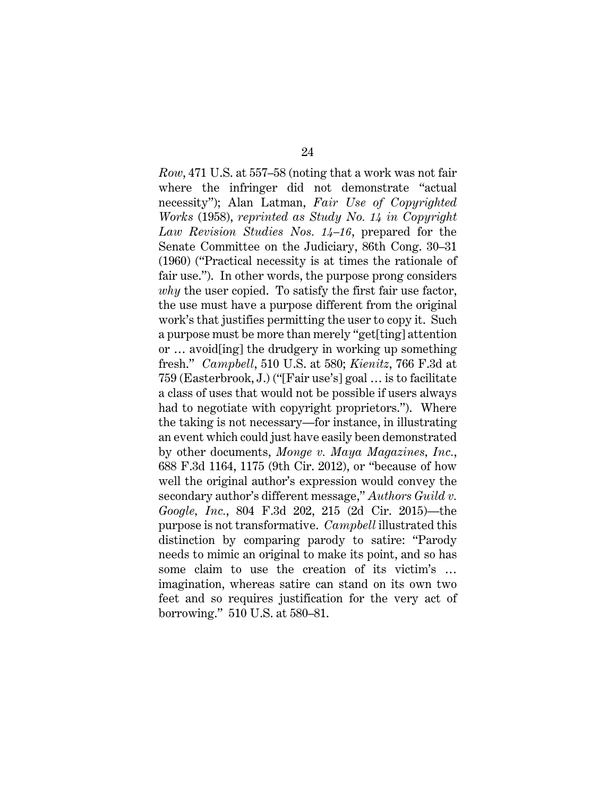*Row*, 471 U.S. at 557–58 (noting that a work was not fair where the infringer did not demonstrate "actual necessity"); Alan Latman, *Fair Use of Copyrighted Works* (1958), *reprinted as Study No. 14 in Copyright Law Revision Studies Nos. 14–16*, prepared for the Senate Committee on the Judiciary, 86th Cong. 30–31 (1960) ("Practical necessity is at times the rationale of fair use."). In other words, the purpose prong considers *why* the user copied. To satisfy the first fair use factor, the use must have a purpose different from the original work's that justifies permitting the user to copy it. Such a purpose must be more than merely "get[ting] attention or … avoid[ing] the drudgery in working up something fresh." *Campbell*, 510 U.S. at 580; *Kienitz*, 766 F.3d at 759 (Easterbrook, J.) ("[Fair use's] goal … is to facilitate a class of uses that would not be possible if users always had to negotiate with copyright proprietors."). Where the taking is not necessary—for instance, in illustrating an event which could just have easily been demonstrated by other documents, *Monge v. Maya Magazines, Inc.*, 688 F.3d 1164, 1175 (9th Cir. 2012), or "because of how well the original author's expression would convey the secondary author's different message," *Authors Guild v. Google, Inc.*, 804 F.3d 202, 215 (2d Cir. 2015)—the purpose is not transformative. *Campbell* illustrated this distinction by comparing parody to satire: "Parody needs to mimic an original to make its point, and so has some claim to use the creation of its victim's … imagination, whereas satire can stand on its own two feet and so requires justification for the very act of borrowing." 510 U.S. at 580–81.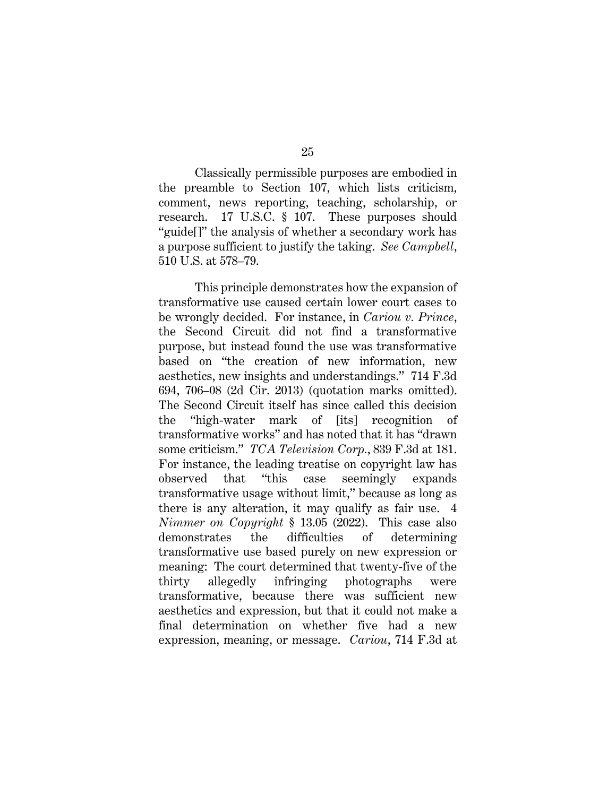Classically permissible purposes are embodied in the preamble to Section 107, which lists criticism, comment, news reporting, teaching, scholarship, or research. 17 U.S.C. § 107. These purposes should "guide[]" the analysis of whether a secondary work has a purpose sufficient to justify the taking. *See Campbell*, 510 U.S. at 578–79.

This principle demonstrates how the expansion of transformative use caused certain lower court cases to be wrongly decided. For instance, in *Cariou v. Prince*, the Second Circuit did not find a transformative purpose, but instead found the use was transformative based on "the creation of new information, new aesthetics, new insights and understandings." 714 F.3d 694, 706–08 (2d Cir. 2013) (quotation marks omitted). The Second Circuit itself has since called this decision the "high-water mark of [its] recognition of transformative works" and has noted that it has "drawn some criticism." *TCA Television Corp.*, 839 F.3d at 181. For instance, the leading treatise on copyright law has observed that "this case seemingly expands transformative usage without limit," because as long as there is any alteration, it may qualify as fair use. 4 *Nimmer on Copyright* § 13.05 (2022). This case also demonstrates the difficulties of determining transformative use based purely on new expression or meaning: The court determined that twenty-five of the thirty allegedly infringing photographs were transformative, because there was sufficient new aesthetics and expression, but that it could not make a final determination on whether five had a new expression, meaning, or message. *Cariou*, 714 F.3d at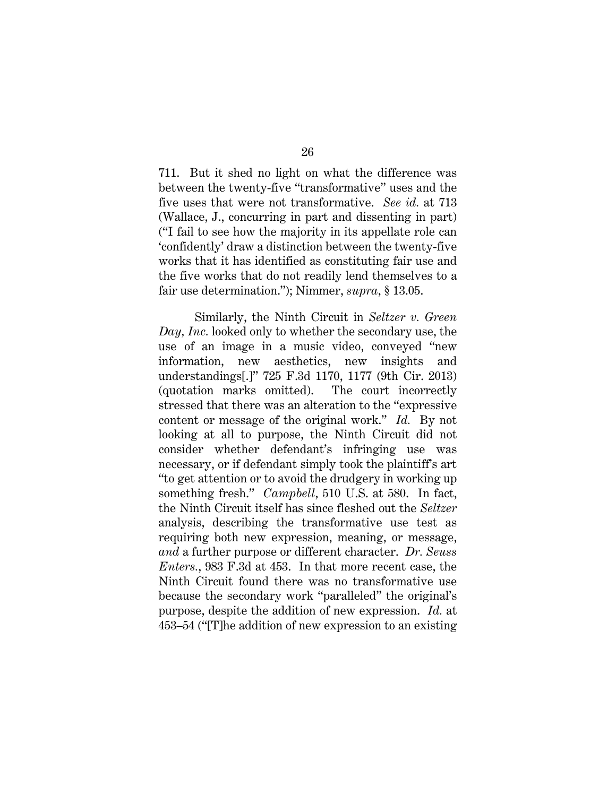26

711. But it shed no light on what the difference was between the twenty-five "transformative" uses and the five uses that were not transformative. *See id.* at 713 (Wallace, J., concurring in part and dissenting in part) ("I fail to see how the majority in its appellate role can 'confidently' draw a distinction between the twenty-five works that it has identified as constituting fair use and the five works that do not readily lend themselves to a fair use determination."); Nimmer, *supra*, § 13.05.

Similarly, the Ninth Circuit in *Seltzer v. Green Day, Inc.* looked only to whether the secondary use, the use of an image in a music video, conveyed "new information, new aesthetics, new insights and understandings[.]" 725 F.3d 1170, 1177 (9th Cir. 2013) (quotation marks omitted). The court incorrectly stressed that there was an alteration to the "expressive content or message of the original work." *Id.* By not looking at all to purpose, the Ninth Circuit did not consider whether defendant's infringing use was necessary, or if defendant simply took the plaintiff's art "to get attention or to avoid the drudgery in working up something fresh." *Campbell*, 510 U.S. at 580. In fact, the Ninth Circuit itself has since fleshed out the *Seltzer*  analysis, describing the transformative use test as requiring both new expression, meaning, or message, *and* a further purpose or different character. *Dr. Seuss Enters.*, 983 F.3d at 453. In that more recent case, the Ninth Circuit found there was no transformative use because the secondary work "paralleled" the original's purpose, despite the addition of new expression. *Id.* at 453–54 ("[T]he addition of new expression to an existing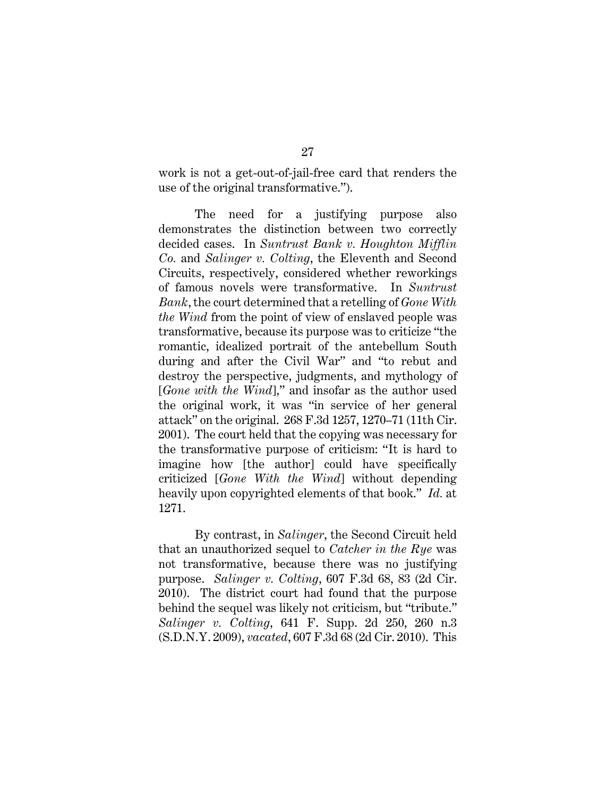work is not a get-out-of-jail-free card that renders the use of the original transformative.").

The need for a justifying purpose also demonstrates the distinction between two correctly decided cases. In *Suntrust Bank v. Houghton Mifflin Co.* and *Salinger v. Colting*, the Eleventh and Second Circuits, respectively, considered whether reworkings of famous novels were transformative. In *Suntrust Bank*, the court determined that a retelling of *Gone With the Wind* from the point of view of enslaved people was transformative, because its purpose was to criticize "the romantic, idealized portrait of the antebellum South during and after the Civil War" and "to rebut and destroy the perspective, judgments, and mythology of [*Gone with the Wind*]," and insofar as the author used the original work, it was "in service of her general attack" on the original. 268 F.3d 1257, 1270–71 (11th Cir. 2001). The court held that the copying was necessary for the transformative purpose of criticism: "It is hard to imagine how [the author] could have specifically criticized [*Gone With the Wind*] without depending heavily upon copyrighted elements of that book." *Id.* at 1271.

By contrast, in *Salinger*, the Second Circuit held that an unauthorized sequel to *Catcher in the Rye* was not transformative, because there was no justifying purpose. *Salinger v. Colting*, 607 F.3d 68, 83 (2d Cir. 2010). The district court had found that the purpose behind the sequel was likely not criticism, but "tribute." *Salinger v. Colting*, 641 F. Supp. 2d 250, 260 n.3 (S.D.N.Y. 2009), *vacated*, 607 F.3d 68 (2d Cir. 2010). This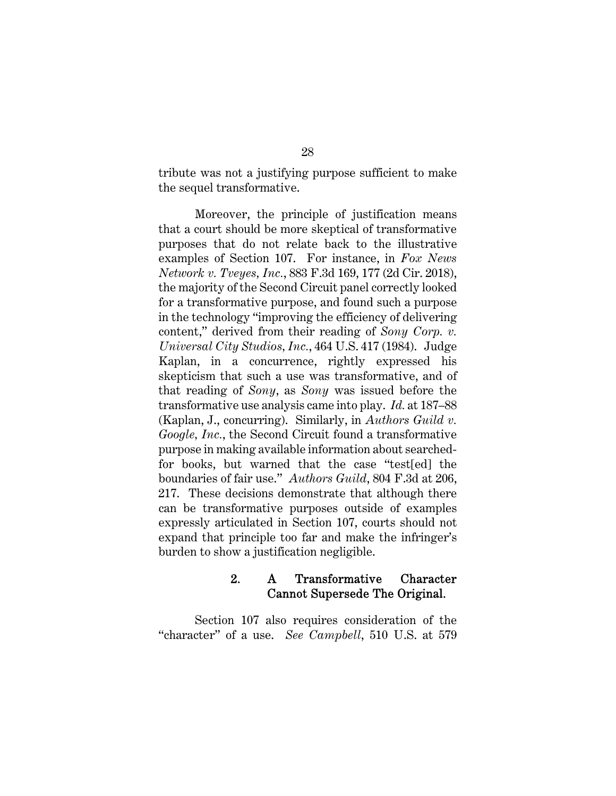tribute was not a justifying purpose sufficient to make the sequel transformative.

Moreover, the principle of justification means that a court should be more skeptical of transformative purposes that do not relate back to the illustrative examples of Section 107. For instance, in *Fox News Network v. Tveyes, Inc.*, 883 F.3d 169, 177 (2d Cir. 2018), the majority of the Second Circuit panel correctly looked for a transformative purpose, and found such a purpose in the technology "improving the efficiency of delivering content," derived from their reading of *Sony Corp. v. Universal City Studios, Inc.*, 464 U.S. 417 (1984). Judge Kaplan, in a concurrence, rightly expressed his skepticism that such a use was transformative, and of that reading of *Sony*, as *Sony* was issued before the transformative use analysis came into play. *Id.* at 187–88 (Kaplan, J., concurring). Similarly, in *Authors Guild v. Google, Inc.*, the Second Circuit found a transformative purpose in making available information about searchedfor books, but warned that the case "test[ed] the boundaries of fair use." *Authors Guild*, 804 F.3d at 206, 217. These decisions demonstrate that although there can be transformative purposes outside of examples expressly articulated in Section 107, courts should not expand that principle too far and make the infringer's burden to show a justification negligible.

### 2. A Transformative Character Cannot Supersede The Original.

Section 107 also requires consideration of the "character" of a use. *See Campbell*, 510 U.S. at 579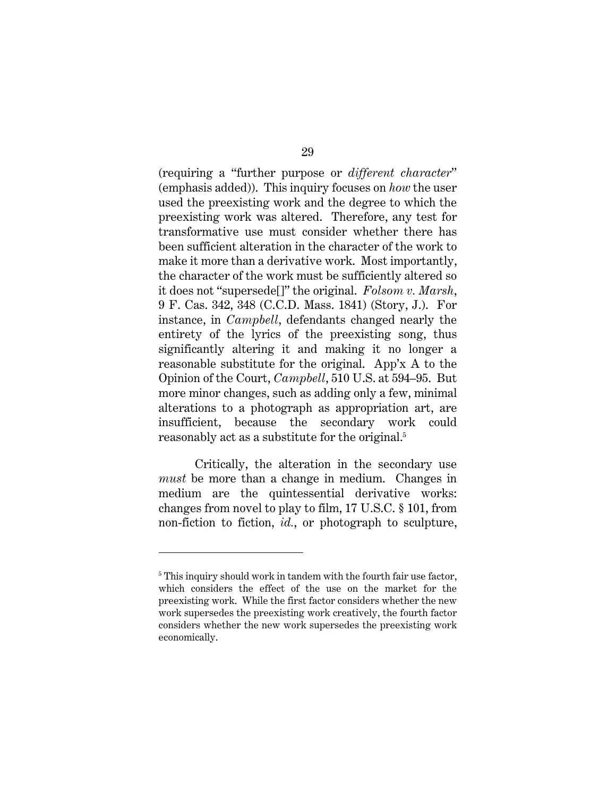(requiring a "further purpose or *different character*" (emphasis added)). This inquiry focuses on *how* the user used the preexisting work and the degree to which the preexisting work was altered. Therefore, any test for transformative use must consider whether there has been sufficient alteration in the character of the work to make it more than a derivative work. Most importantly, the character of the work must be sufficiently altered so it does not "supersede[]" the original. *Folsom v. Marsh*, 9 F. Cas. 342, 348 (C.C.D. Mass. 1841) (Story, J.). For instance, in *Campbell*, defendants changed nearly the entirety of the lyrics of the preexisting song, thus significantly altering it and making it no longer a reasonable substitute for the original. App'x A to the Opinion of the Court, *Campbell*, 510 U.S. at 594–95. But more minor changes, such as adding only a few, minimal alterations to a photograph as appropriation art, are insufficient, because the secondary work could reasonably act as a substitute for the original.<sup>5</sup>

Critically, the alteration in the secondary use *must* be more than a change in medium. Changes in medium are the quintessential derivative works: changes from novel to play to film, 17 U.S.C. § 101, from non-fiction to fiction, *id.*, or photograph to sculpture,

<sup>&</sup>lt;sup>5</sup> This inquiry should work in tandem with the fourth fair use factor, which considers the effect of the use on the market for the preexisting work. While the first factor considers whether the new work supersedes the preexisting work creatively, the fourth factor considers whether the new work supersedes the preexisting work economically.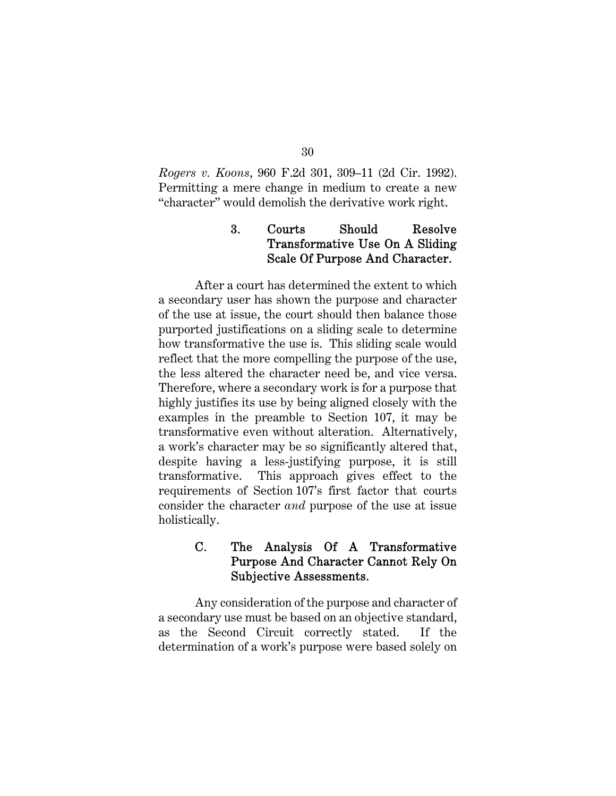*Rogers v. Koons*, 960 F.2d 301, 309–11 (2d Cir. 1992). Permitting a mere change in medium to create a new "character" would demolish the derivative work right.

# 3. Courts Should Resolve Transformative Use On A Sliding Scale Of Purpose And Character.

After a court has determined the extent to which a secondary user has shown the purpose and character of the use at issue, the court should then balance those purported justifications on a sliding scale to determine how transformative the use is. This sliding scale would reflect that the more compelling the purpose of the use, the less altered the character need be, and vice versa. Therefore, where a secondary work is for a purpose that highly justifies its use by being aligned closely with the examples in the preamble to Section 107, it may be transformative even without alteration. Alternatively, a work's character may be so significantly altered that, despite having a less-justifying purpose, it is still transformative. This approach gives effect to the requirements of Section 107's first factor that courts consider the character *and* purpose of the use at issue holistically.

### C. The Analysis Of A Transformative Purpose And Character Cannot Rely On Subjective Assessments.

Any consideration of the purpose and character of a secondary use must be based on an objective standard, as the Second Circuit correctly stated. If the determination of a work's purpose were based solely on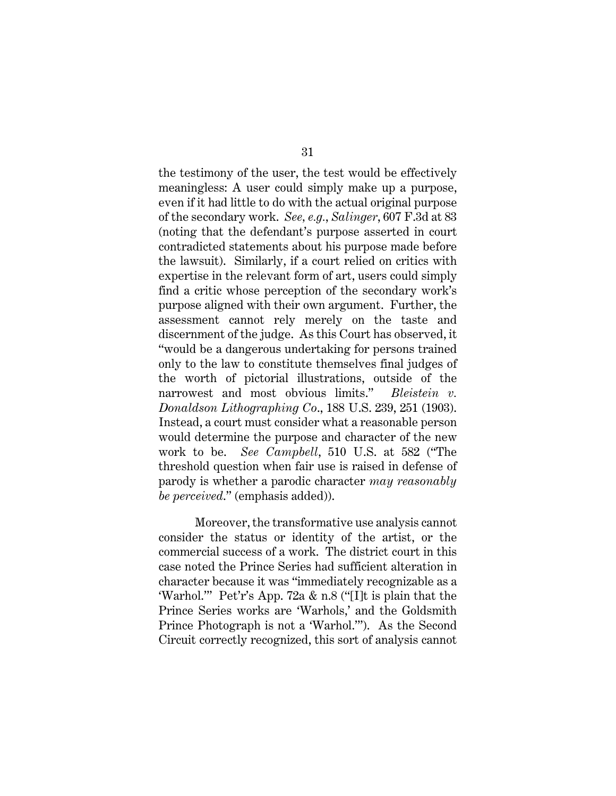the testimony of the user, the test would be effectively meaningless: A user could simply make up a purpose, even if it had little to do with the actual original purpose of the secondary work. *See, e.g.*, *Salinger*, 607 F.3d at 83 (noting that the defendant's purpose asserted in court contradicted statements about his purpose made before the lawsuit). Similarly, if a court relied on critics with expertise in the relevant form of art, users could simply find a critic whose perception of the secondary work's purpose aligned with their own argument. Further, the assessment cannot rely merely on the taste and discernment of the judge. As this Court has observed, it "would be a dangerous undertaking for persons trained only to the law to constitute themselves final judges of the worth of pictorial illustrations, outside of the narrowest and most obvious limits." *Bleistein v. Donaldson Lithographing Co*., 188 U.S. 239, 251 (1903). Instead, a court must consider what a reasonable person would determine the purpose and character of the new work to be. *See Campbell*, 510 U.S. at 582 ("The threshold question when fair use is raised in defense of parody is whether a parodic character *may reasonably be perceived*." (emphasis added)).

Moreover, the transformative use analysis cannot consider the status or identity of the artist, or the commercial success of a work. The district court in this case noted the Prince Series had sufficient alteration in character because it was "immediately recognizable as a 'Warhol.'" Pet'r's App. 72a & n.8 ("[I]t is plain that the Prince Series works are 'Warhols,' and the Goldsmith Prince Photograph is not a 'Warhol.'"). As the Second Circuit correctly recognized, this sort of analysis cannot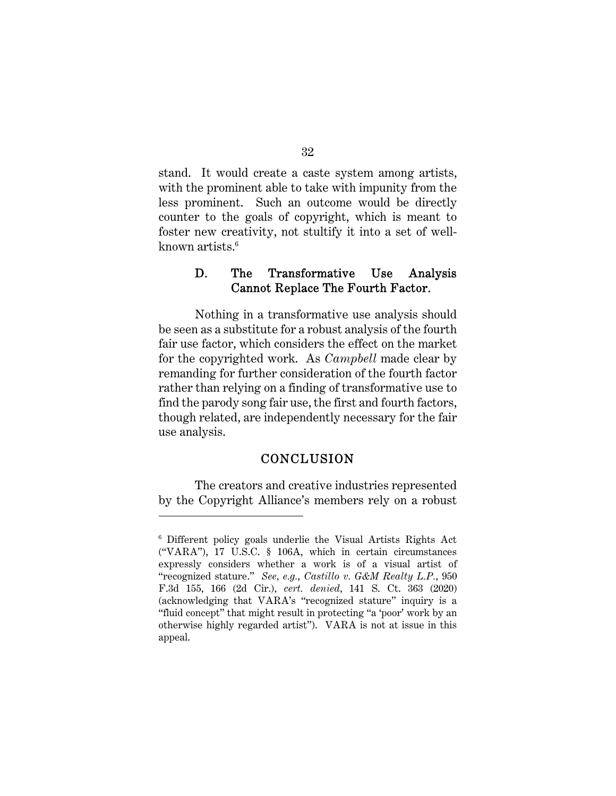stand. It would create a caste system among artists, with the prominent able to take with impunity from the less prominent. Such an outcome would be directly counter to the goals of copyright, which is meant to foster new creativity, not stultify it into a set of wellknown artists.<sup>6</sup>

### D. The Transformative Use Analysis Cannot Replace The Fourth Factor.

Nothing in a transformative use analysis should be seen as a substitute for a robust analysis of the fourth fair use factor, which considers the effect on the market for the copyrighted work. As *Campbell* made clear by remanding for further consideration of the fourth factor rather than relying on a finding of transformative use to find the parody song fair use, the first and fourth factors, though related, are independently necessary for the fair use analysis.

#### CONCLUSION

The creators and creative industries represented by the Copyright Alliance's members rely on a robust

<sup>6</sup> Different policy goals underlie the Visual Artists Rights Act ("VARA"), 17 U.S.C. § 106A, which in certain circumstances expressly considers whether a work is of a visual artist of "recognized stature." *See, e.g.*, *Castillo v. G&M Realty L.P.*, 950 F.3d 155, 166 (2d Cir.), *cert. denied*, 141 S. Ct. 363 (2020) (acknowledging that VARA's "recognized stature" inquiry is a "fluid concept" that might result in protecting "a 'poor' work by an otherwise highly regarded artist"). VARA is not at issue in this appeal.